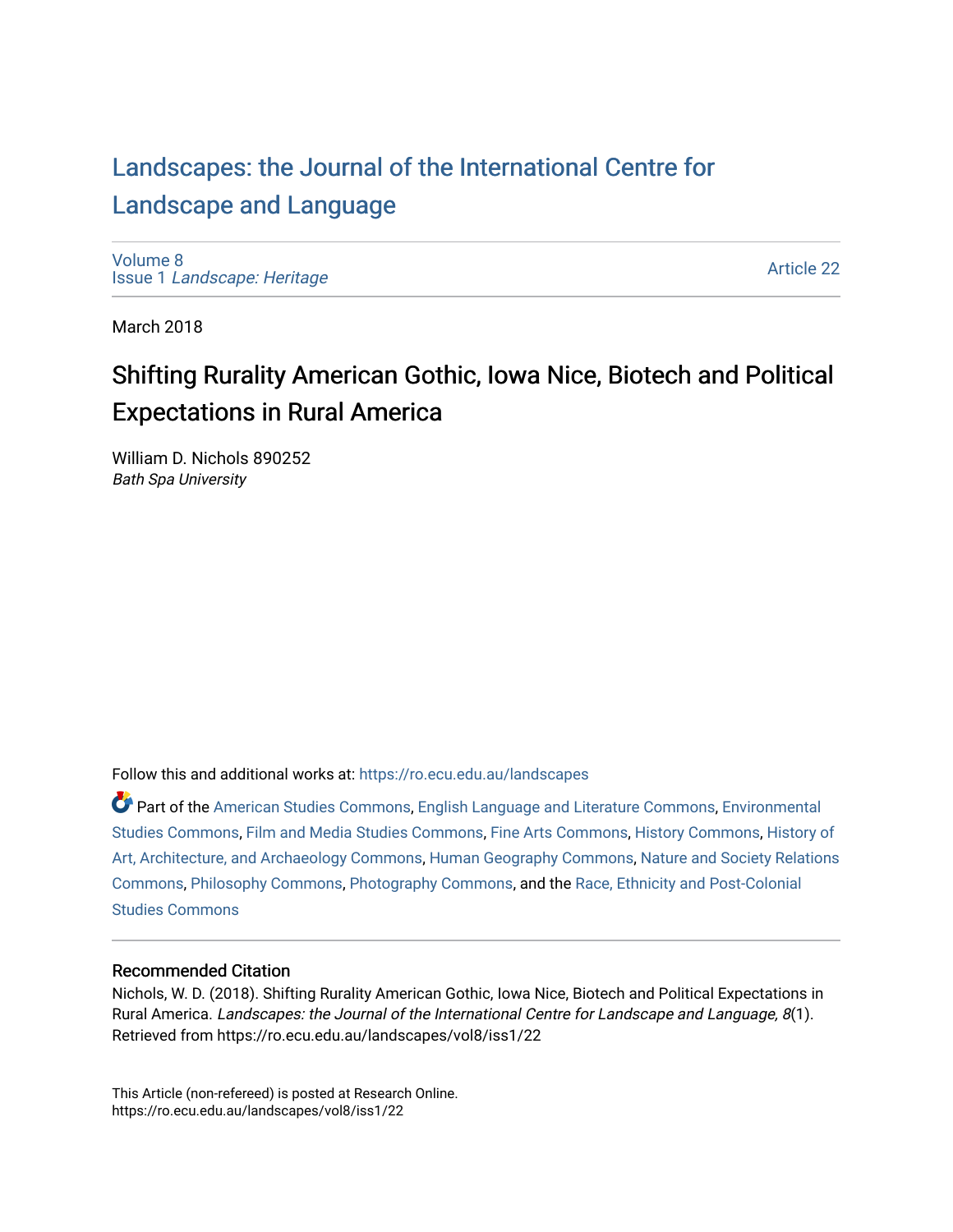## [Landscapes: the Journal of the International Centre for](https://ro.ecu.edu.au/landscapes) [Landscape and Language](https://ro.ecu.edu.au/landscapes)

[Volume 8](https://ro.ecu.edu.au/landscapes/vol8) Issue 1 [Landscape: Heritage](https://ro.ecu.edu.au/landscapes/vol8/iss1)

[Article 22](https://ro.ecu.edu.au/landscapes/vol8/iss1/22) 

March 2018

## Shifting Rurality American Gothic, Iowa Nice, Biotech and Political Expectations in Rural America

William D. Nichols 890252 Bath Spa University

Follow this and additional works at: [https://ro.ecu.edu.au/landscapes](https://ro.ecu.edu.au/landscapes?utm_source=ro.ecu.edu.au%2Flandscapes%2Fvol8%2Fiss1%2F22&utm_medium=PDF&utm_campaign=PDFCoverPages) 

Part of the [American Studies Commons](http://network.bepress.com/hgg/discipline/439?utm_source=ro.ecu.edu.au%2Flandscapes%2Fvol8%2Fiss1%2F22&utm_medium=PDF&utm_campaign=PDFCoverPages), [English Language and Literature Commons,](http://network.bepress.com/hgg/discipline/455?utm_source=ro.ecu.edu.au%2Flandscapes%2Fvol8%2Fiss1%2F22&utm_medium=PDF&utm_campaign=PDFCoverPages) [Environmental](http://network.bepress.com/hgg/discipline/1333?utm_source=ro.ecu.edu.au%2Flandscapes%2Fvol8%2Fiss1%2F22&utm_medium=PDF&utm_campaign=PDFCoverPages)  [Studies Commons,](http://network.bepress.com/hgg/discipline/1333?utm_source=ro.ecu.edu.au%2Flandscapes%2Fvol8%2Fiss1%2F22&utm_medium=PDF&utm_campaign=PDFCoverPages) [Film and Media Studies Commons,](http://network.bepress.com/hgg/discipline/563?utm_source=ro.ecu.edu.au%2Flandscapes%2Fvol8%2Fiss1%2F22&utm_medium=PDF&utm_campaign=PDFCoverPages) [Fine Arts Commons,](http://network.bepress.com/hgg/discipline/1141?utm_source=ro.ecu.edu.au%2Flandscapes%2Fvol8%2Fiss1%2F22&utm_medium=PDF&utm_campaign=PDFCoverPages) [History Commons](http://network.bepress.com/hgg/discipline/489?utm_source=ro.ecu.edu.au%2Flandscapes%2Fvol8%2Fiss1%2F22&utm_medium=PDF&utm_campaign=PDFCoverPages), [History of](http://network.bepress.com/hgg/discipline/510?utm_source=ro.ecu.edu.au%2Flandscapes%2Fvol8%2Fiss1%2F22&utm_medium=PDF&utm_campaign=PDFCoverPages) [Art, Architecture, and Archaeology Commons,](http://network.bepress.com/hgg/discipline/510?utm_source=ro.ecu.edu.au%2Flandscapes%2Fvol8%2Fiss1%2F22&utm_medium=PDF&utm_campaign=PDFCoverPages) [Human Geography Commons](http://network.bepress.com/hgg/discipline/356?utm_source=ro.ecu.edu.au%2Flandscapes%2Fvol8%2Fiss1%2F22&utm_medium=PDF&utm_campaign=PDFCoverPages), [Nature and Society Relations](http://network.bepress.com/hgg/discipline/357?utm_source=ro.ecu.edu.au%2Flandscapes%2Fvol8%2Fiss1%2F22&utm_medium=PDF&utm_campaign=PDFCoverPages)  [Commons](http://network.bepress.com/hgg/discipline/357?utm_source=ro.ecu.edu.au%2Flandscapes%2Fvol8%2Fiss1%2F22&utm_medium=PDF&utm_campaign=PDFCoverPages), [Philosophy Commons](http://network.bepress.com/hgg/discipline/525?utm_source=ro.ecu.edu.au%2Flandscapes%2Fvol8%2Fiss1%2F22&utm_medium=PDF&utm_campaign=PDFCoverPages), [Photography Commons,](http://network.bepress.com/hgg/discipline/1142?utm_source=ro.ecu.edu.au%2Flandscapes%2Fvol8%2Fiss1%2F22&utm_medium=PDF&utm_campaign=PDFCoverPages) and the [Race, Ethnicity and Post-Colonial](http://network.bepress.com/hgg/discipline/566?utm_source=ro.ecu.edu.au%2Flandscapes%2Fvol8%2Fiss1%2F22&utm_medium=PDF&utm_campaign=PDFCoverPages) [Studies Commons](http://network.bepress.com/hgg/discipline/566?utm_source=ro.ecu.edu.au%2Flandscapes%2Fvol8%2Fiss1%2F22&utm_medium=PDF&utm_campaign=PDFCoverPages) 

#### Recommended Citation

Nichols, W. D. (2018). Shifting Rurality American Gothic, Iowa Nice, Biotech and Political Expectations in Rural America. Landscapes: the Journal of the International Centre for Landscape and Language, 8(1). Retrieved from https://ro.ecu.edu.au/landscapes/vol8/iss1/22

This Article (non-refereed) is posted at Research Online. https://ro.ecu.edu.au/landscapes/vol8/iss1/22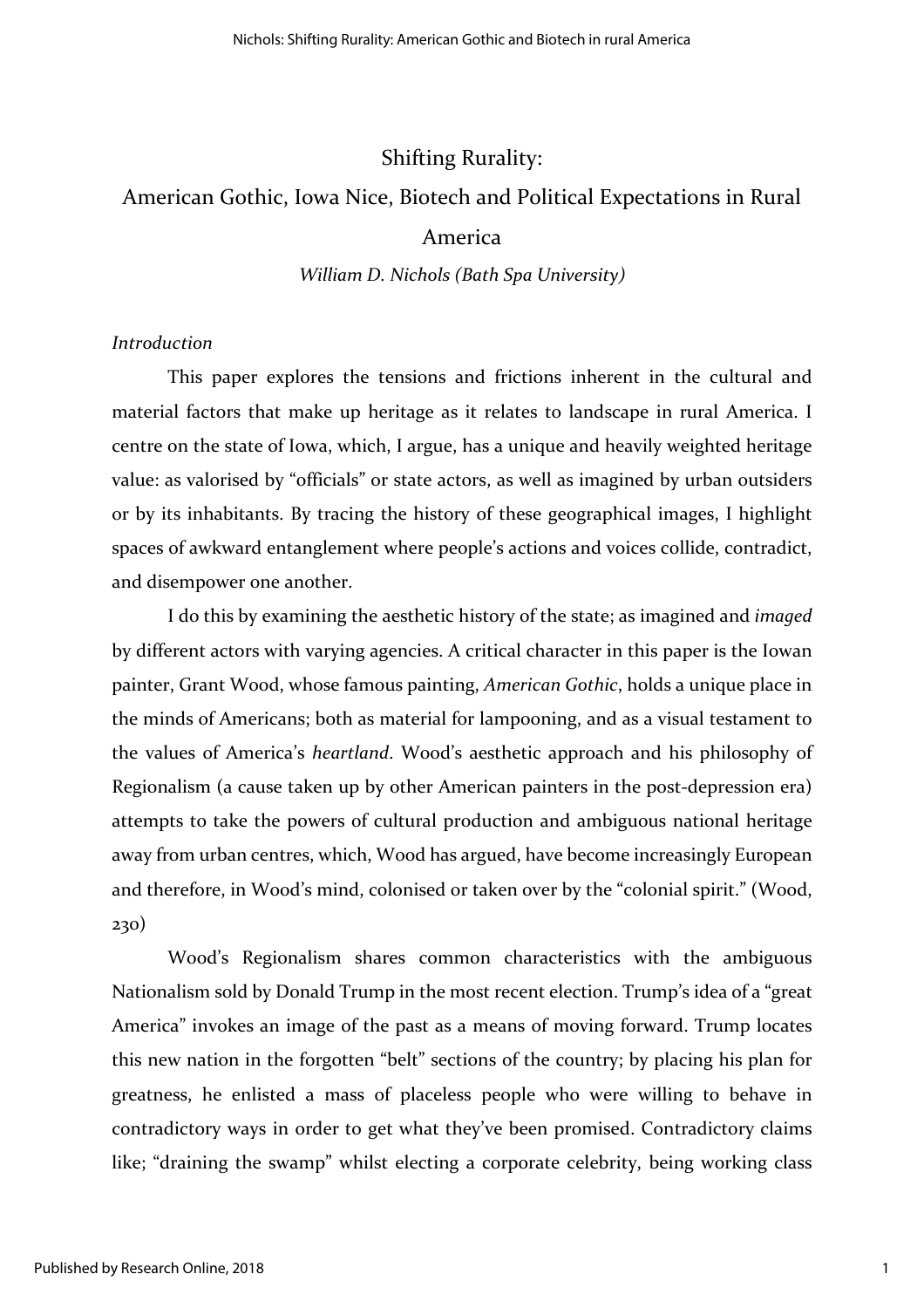#### Shifting Rurality:

# American Gothic, Iowa Nice, Biotech and Political Expectations in Rural

### America

*William D. Nichols (Bath Spa University)*

#### *Introduction*

This paper explores the tensions and frictions inherent in the cultural and material factors that make up heritage as it relates to landscape in rural America. I centre on the state of Iowa, which, I argue, has a unique and heavily weighted heritage value: as valorised by "officials" or state actors, as well as imagined by urban outsiders or by its inhabitants. By tracing the history of these geographical images, I highlight spaces of awkward entanglement where people's actions and voices collide, contradict, and disempower one another.

I do this by examining the aesthetic history of the state; as imagined and *imaged* by different actors with varying agencies. A critical character in this paper is the Iowan painter, Grant Wood, whose famous painting, *American Gothic*, holds a unique place in the minds of Americans; both as material for lampooning, and as a visual testament to the values of America's *heartland*. Wood's aesthetic approach and his philosophy of Regionalism (a cause taken up by other American painters in the post-depression era) attempts to take the powers of cultural production and ambiguous national heritage away from urban centres, which, Wood has argued, have become increasingly European and therefore, in Wood's mind, colonised or taken over by the "colonial spirit." (Wood, 230)

Wood's Regionalism shares common characteristics with the ambiguous Nationalism sold by Donald Trump in the most recent election. Trump's idea of a "great America" invokes an image of the past as a means of moving forward. Trump locates this new nation in the forgotten "belt" sections of the country; by placing his plan for greatness, he enlisted a mass of placeless people who were willing to behave in contradictory ways in order to get what they've been promised. Contradictory claims like; "draining the swamp" whilst electing a corporate celebrity, being working class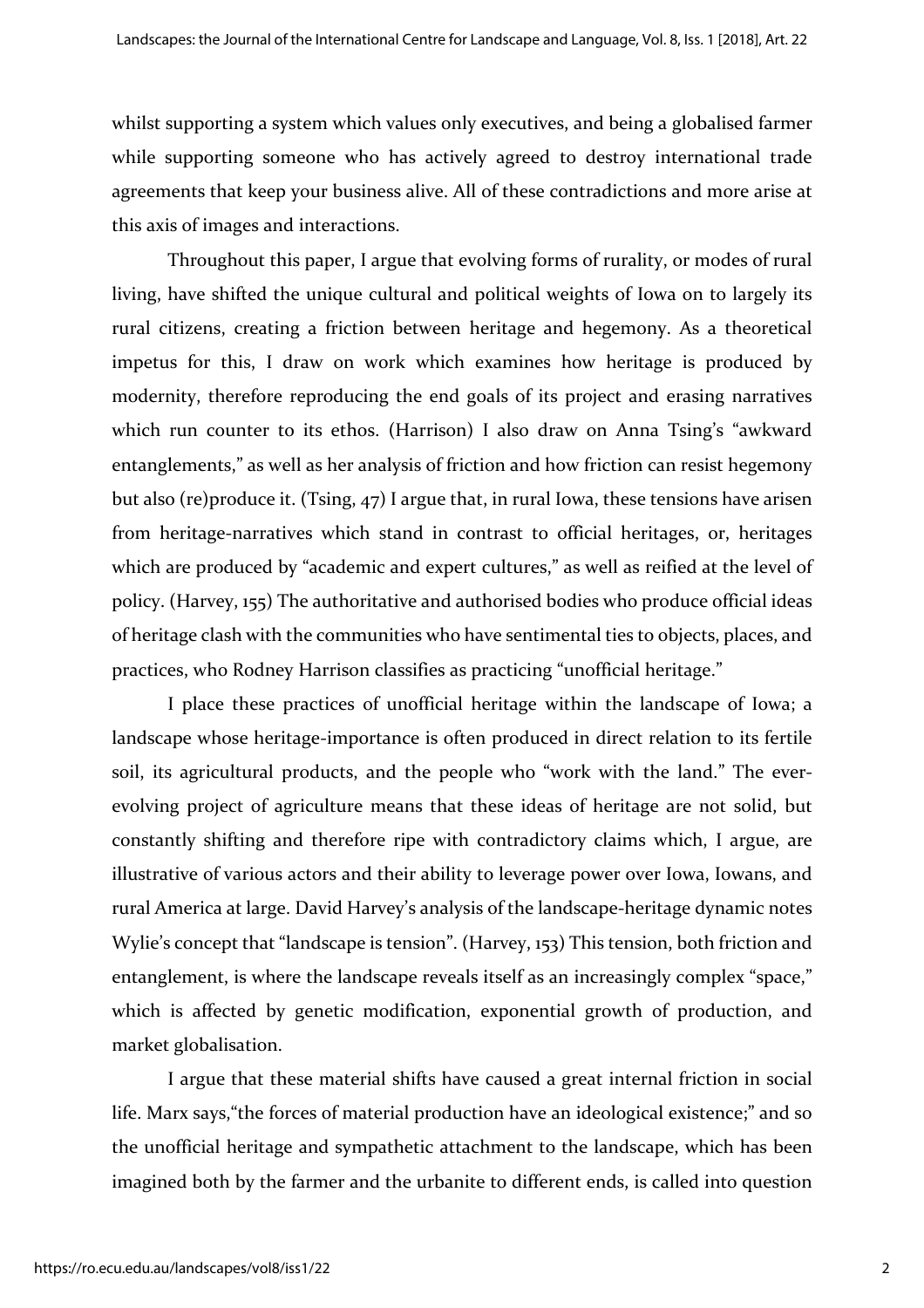whilst supporting a system which values only executives, and being a globalised farmer while supporting someone who has actively agreed to destroy international trade agreements that keep your business alive. All of these contradictions and more arise at this axis of images and interactions.

Throughout this paper, I argue that evolving forms of rurality, or modes of rural living, have shifted the unique cultural and political weights of Iowa on to largely its rural citizens, creating a friction between heritage and hegemony. As a theoretical impetus for this, I draw on work which examines how heritage is produced by modernity, therefore reproducing the end goals of its project and erasing narratives which run counter to its ethos. (Harrison) I also draw on Anna Tsing's "awkward entanglements," as well as her analysis of friction and how friction can resist hegemony but also (re)produce it. (Tsing, 47) I argue that, in rural Iowa, these tensions have arisen from heritage-narratives which stand in contrast to official heritages, or, heritages which are produced by "academic and expert cultures," as well as reified at the level of policy. (Harvey, 155) The authoritative and authorised bodies who produce official ideas of heritage clash with the communities who have sentimental ties to objects, places, and practices, who Rodney Harrison classifies as practicing "unofficial heritage."

I place these practices of unofficial heritage within the landscape of Iowa; a landscape whose heritage-importance is often produced in direct relation to its fertile soil, its agricultural products, and the people who "work with the land." The everevolving project of agriculture means that these ideas of heritage are not solid, but constantly shifting and therefore ripe with contradictory claims which, I argue, are illustrative of various actors and their ability to leverage power over Iowa, Iowans, and rural America at large. David Harvey's analysis of the landscape-heritage dynamic notes Wylie's concept that "landscape is tension". (Harvey, 153) This tension, both friction and entanglement, is where the landscape reveals itself as an increasingly complex "space," which is affected by genetic modification, exponential growth of production, and market globalisation.

I argue that these material shifts have caused a great internal friction in social life. Marx says,"the forces of material production have an ideological existence;" and so the unofficial heritage and sympathetic attachment to the landscape, which has been imagined both by the farmer and the urbanite to different ends, is called into question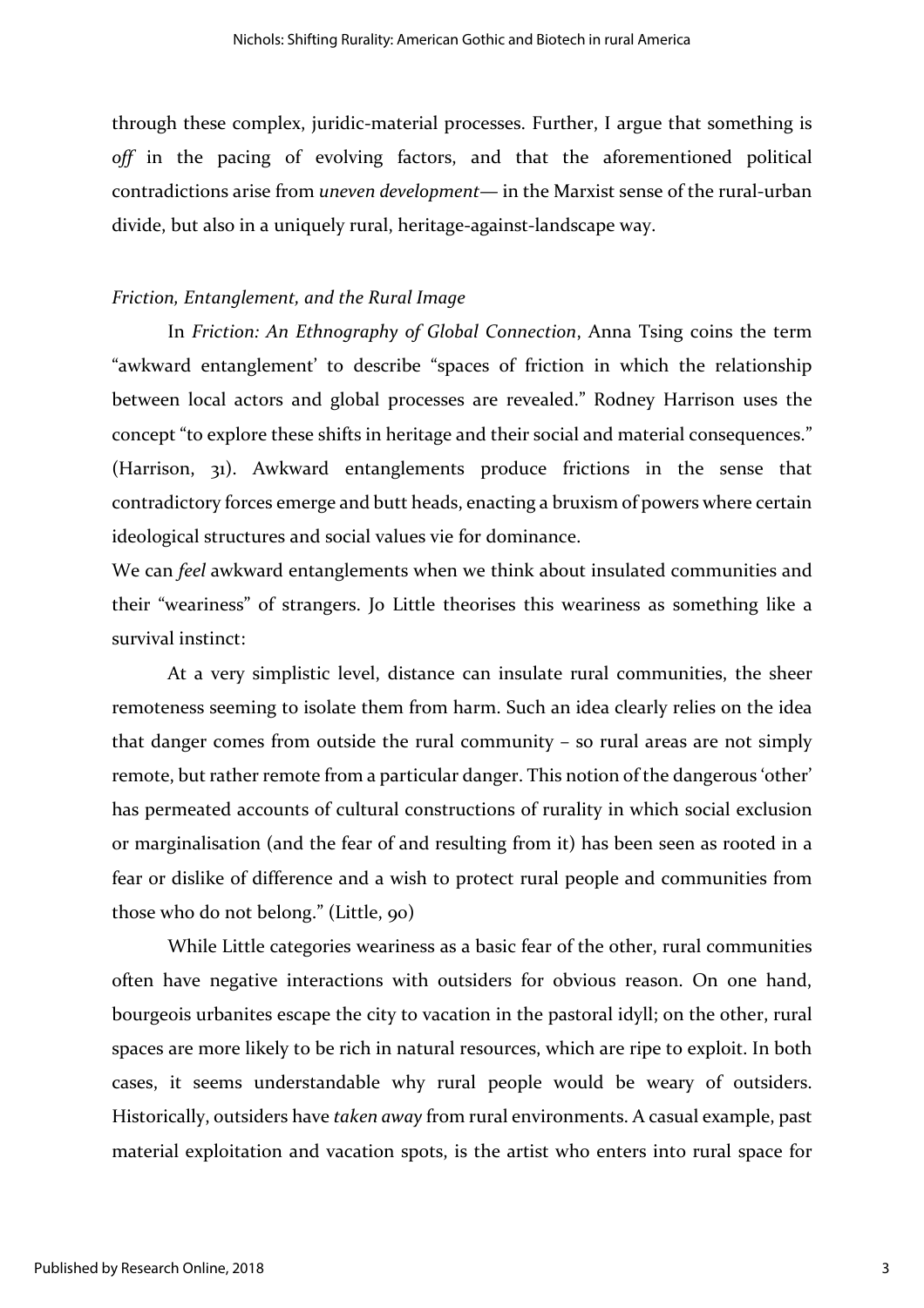through these complex, juridic-material processes. Further, I argue that something is *off* in the pacing of evolving factors, and that the aforementioned political contradictions arise from *uneven development—* in the Marxist sense of the rural-urban divide, but also in a uniquely rural, heritage-against-landscape way.

#### *Friction, Entanglement, and the Rural Image*

In *Friction: An Ethnography of Global Connection*, Anna Tsing coins the term "awkward entanglement' to describe "spaces of friction in which the relationship between local actors and global processes are revealed." Rodney Harrison uses the concept "to explore these shifts in heritage and their social and material consequences." (Harrison, 31). Awkward entanglements produce frictions in the sense that contradictory forces emerge and butt heads, enacting a bruxism of powers where certain ideological structures and social values vie for dominance.

We can *feel* awkward entanglements when we think about insulated communities and their "weariness" of strangers. Jo Little theorises this weariness as something like a survival instinct:

At a very simplistic level, distance can insulate rural communities, the sheer remoteness seeming to isolate them from harm. Such an idea clearly relies on the idea that danger comes from outside the rural community – so rural areas are not simply remote, but rather remote from a particular danger. This notion of the dangerous 'other' has permeated accounts of cultural constructions of rurality in which social exclusion or marginalisation (and the fear of and resulting from it) has been seen as rooted in a fear or dislike of difference and a wish to protect rural people and communities from those who do not belong." (Little, 90)

While Little categories weariness as a basic fear of the other, rural communities often have negative interactions with outsiders for obvious reason. On one hand, bourgeois urbanites escape the city to vacation in the pastoral idyll; on the other, rural spaces are more likely to be rich in natural resources, which are ripe to exploit. In both cases, it seems understandable why rural people would be weary of outsiders. Historically, outsiders have *taken away* from rural environments. A casual example, past material exploitation and vacation spots, is the artist who enters into rural space for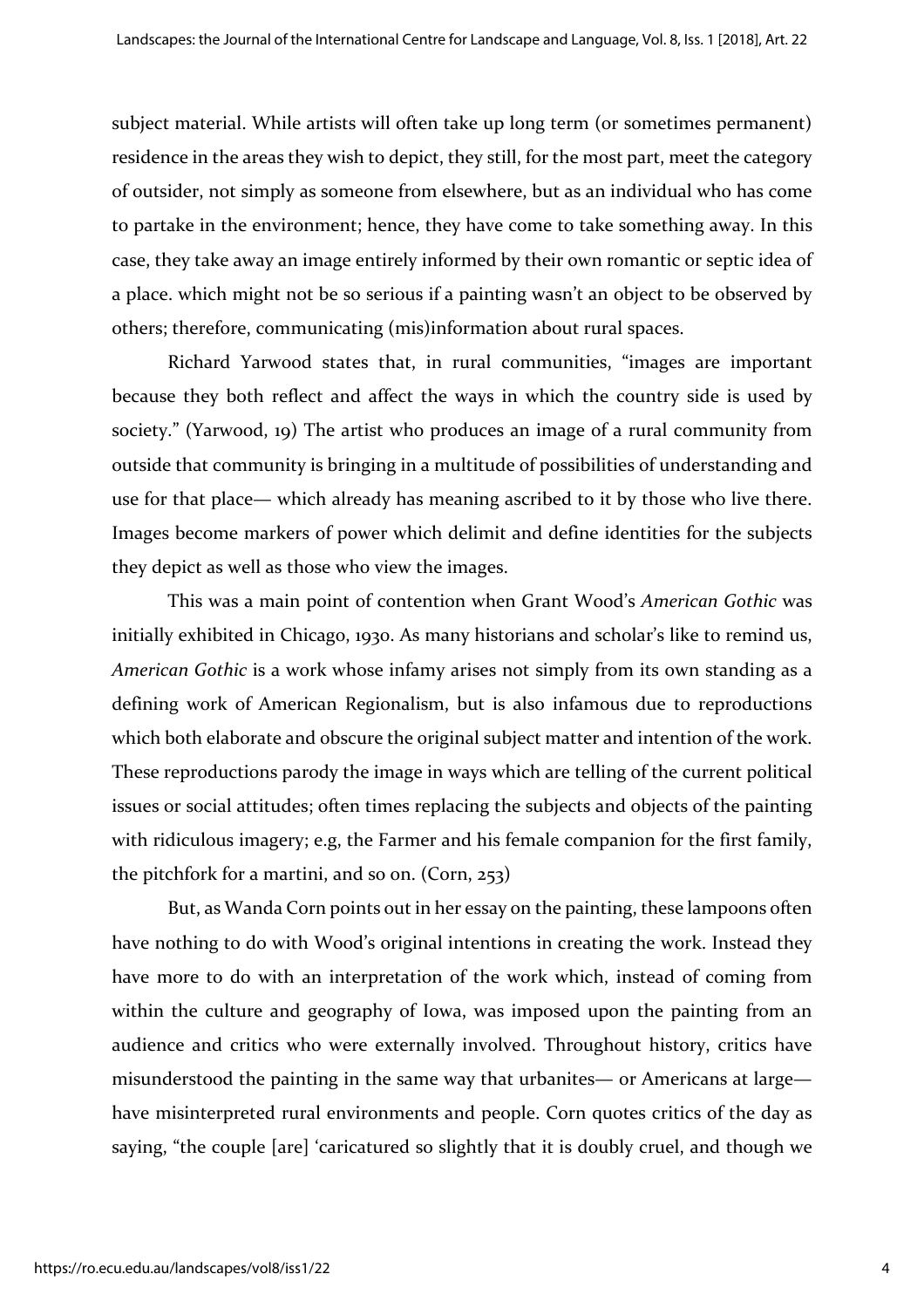subject material. While artists will often take up long term (or sometimes permanent) residence in the areas they wish to depict, they still, for the most part, meet the category of outsider, not simply as someone from elsewhere, but as an individual who has come to partake in the environment; hence, they have come to take something away. In this case, they take away an image entirely informed by their own romantic or septic idea of a place. which might not be so serious if a painting wasn't an object to be observed by others; therefore, communicating (mis)information about rural spaces.

Richard Yarwood states that, in rural communities, "images are important because they both reflect and affect the ways in which the country side is used by society." (Yarwood, 19) The artist who produces an image of a rural community from outside that community is bringing in a multitude of possibilities of understanding and use for that place— which already has meaning ascribed to it by those who live there. Images become markers of power which delimit and define identities for the subjects they depict as well as those who view the images.

This was a main point of contention when Grant Wood's *American Gothic* was initially exhibited in Chicago, 1930. As many historians and scholar's like to remind us, *American Gothic* is a work whose infamy arises not simply from its own standing as a defining work of American Regionalism, but is also infamous due to reproductions which both elaborate and obscure the original subject matter and intention of the work. These reproductions parody the image in ways which are telling of the current political issues or social attitudes; often times replacing the subjects and objects of the painting with ridiculous imagery; e.g, the Farmer and his female companion for the first family, the pitchfork for a martini, and so on. (Corn, 253)

But, as Wanda Corn points out in her essay on the painting, these lampoons often have nothing to do with Wood's original intentions in creating the work. Instead they have more to do with an interpretation of the work which, instead of coming from within the culture and geography of Iowa, was imposed upon the painting from an audience and critics who were externally involved. Throughout history, critics have misunderstood the painting in the same way that urbanites— or Americans at large have misinterpreted rural environments and people. Corn quotes critics of the day as saying, "the couple [are] 'caricatured so slightly that it is doubly cruel, and though we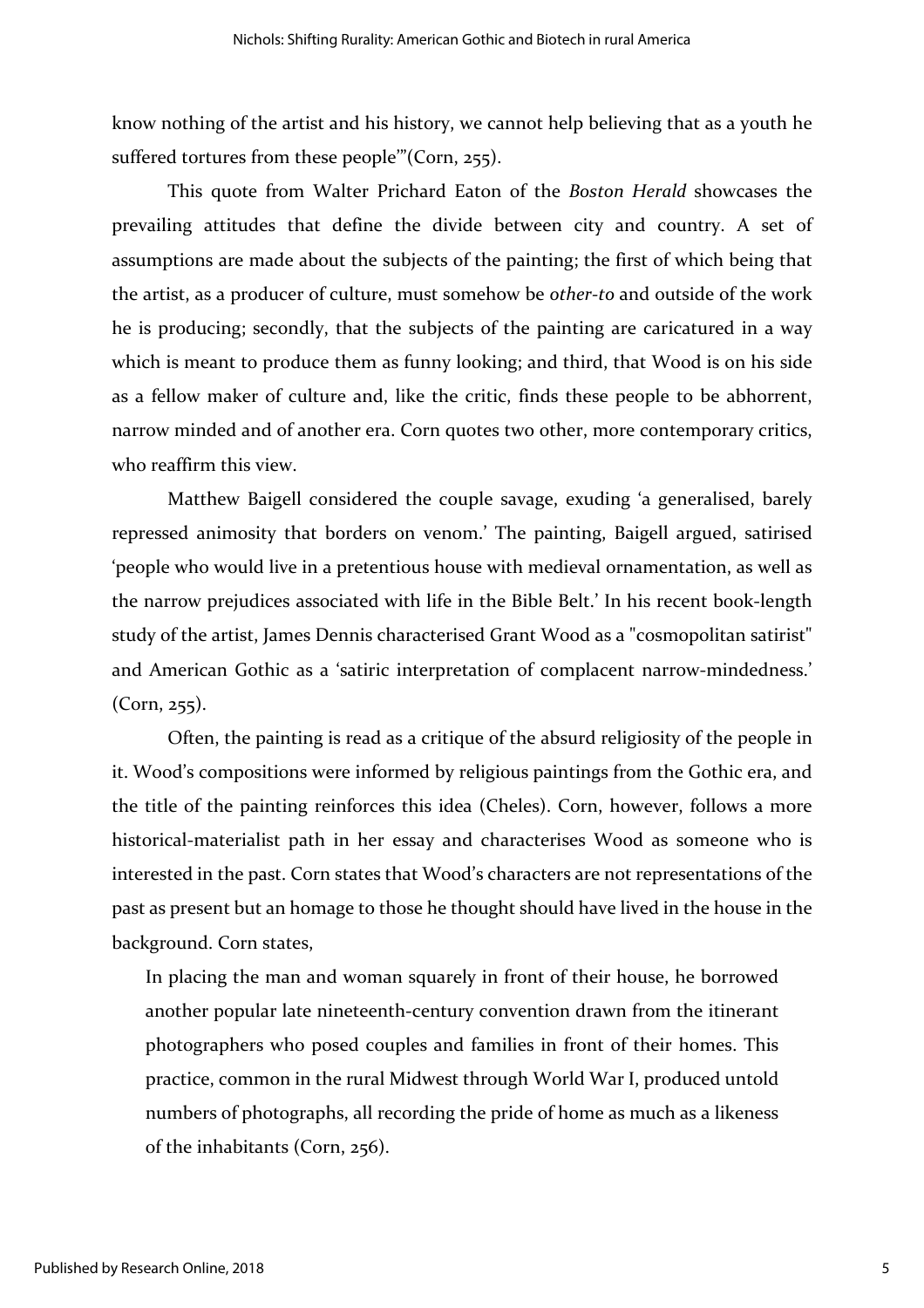know nothing of the artist and his history, we cannot help believing that as a youth he suffered tortures from these people<sup>"</sup> (Corn, 255).

This quote from Walter Prichard Eaton of the *Boston Herald* showcases the prevailing attitudes that define the divide between city and country. A set of assumptions are made about the subjects of the painting; the first of which being that the artist, as a producer of culture, must somehow be *other-to* and outside of the work he is producing; secondly, that the subjects of the painting are caricatured in a way which is meant to produce them as funny looking; and third, that Wood is on his side as a fellow maker of culture and, like the critic, finds these people to be abhorrent, narrow minded and of another era. Corn quotes two other, more contemporary critics, who reaffirm this view.

Matthew Baigell considered the couple savage, exuding 'a generalised, barely repressed animosity that borders on venom.' The painting, Baigell argued, satirised 'people who would live in a pretentious house with medieval ornamentation, as well as the narrow prejudices associated with life in the Bible Belt.' In his recent book-length study of the artist, James Dennis characterised Grant Wood as a "cosmopolitan satirist" and American Gothic as a 'satiric interpretation of complacent narrow-mindedness.' (Corn, 255).

Often, the painting is read as a critique of the absurd religiosity of the people in it. Wood's compositions were informed by religious paintings from the Gothic era, and the title of the painting reinforces this idea (Cheles). Corn, however, follows a more historical-materialist path in her essay and characterises Wood as someone who is interested in the past. Corn states that Wood's characters are not representations of the past as present but an homage to those he thought should have lived in the house in the background. Corn states,

In placing the man and woman squarely in front of their house, he borrowed another popular late nineteenth-century convention drawn from the itinerant photographers who posed couples and families in front of their homes. This practice, common in the rural Midwest through World War I, produced untold numbers of photographs, all recording the pride of home as much as a likeness of the inhabitants (Corn, 256).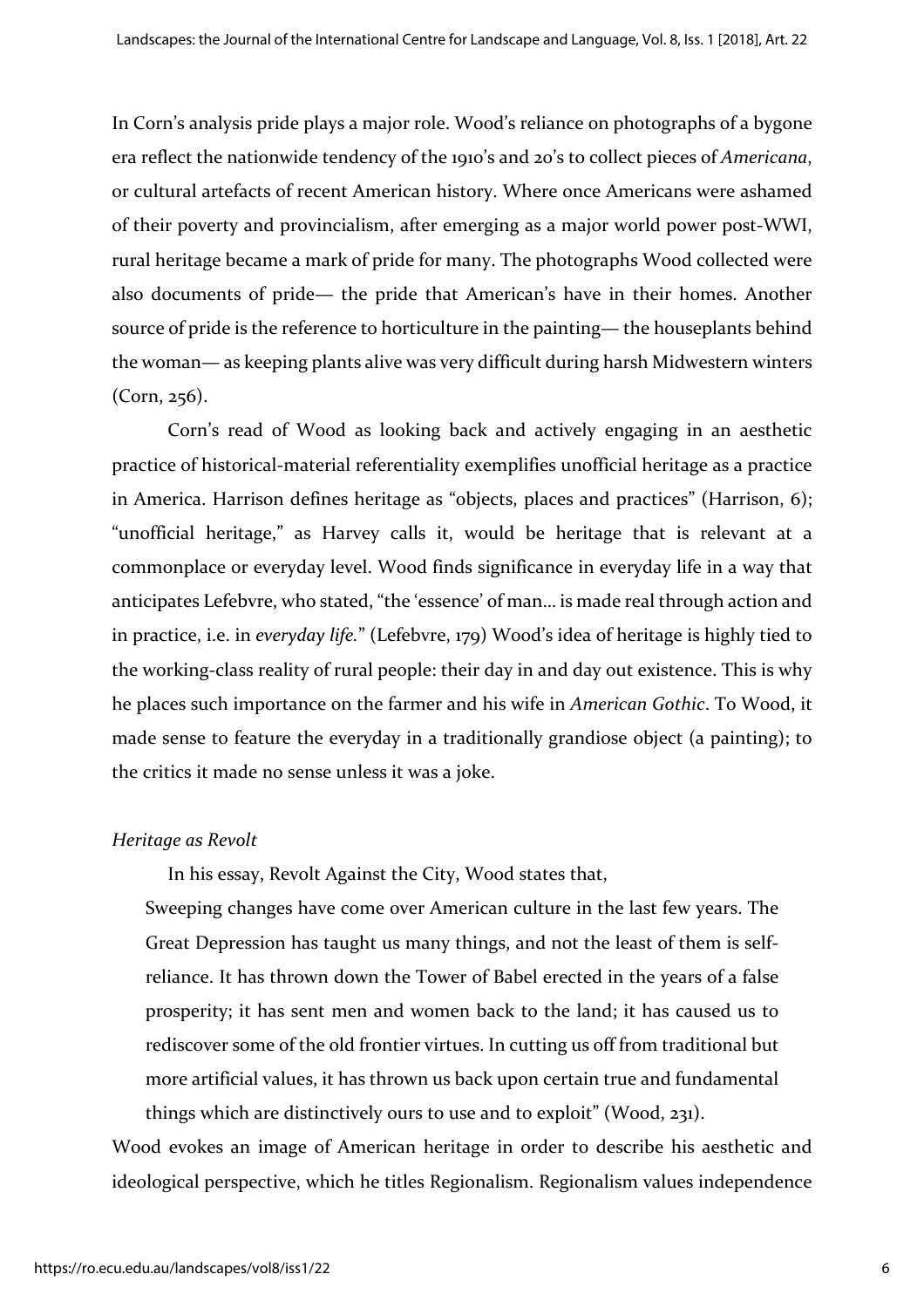In Corn's analysis pride plays a major role. Wood's reliance on photographs of a bygone era reflect the nationwide tendency of the 1910's and 20's to collect pieces of *Americana*, or cultural artefacts of recent American history. Where once Americans were ashamed of their poverty and provincialism, after emerging as a major world power post-WWI, rural heritage became a mark of pride for many. The photographs Wood collected were also documents of pride— the pride that American's have in their homes. Another source of pride is the reference to horticulture in the painting— the houseplants behind the woman— as keeping plants alive was very difficult during harsh Midwestern winters (Corn, 256).

Corn's read of Wood as looking back and actively engaging in an aesthetic practice of historical-material referentiality exemplifies unofficial heritage as a practice in America. Harrison defines heritage as "objects, places and practices" (Harrison, 6); "unofficial heritage," as Harvey calls it, would be heritage that is relevant at a commonplace or everyday level. Wood finds significance in everyday life in a way that anticipates Lefebvre, who stated, "the 'essence' of man… is made real through action and in practice, i.e. in *everyday life.*" (Lefebvre, 179) Wood's idea of heritage is highly tied to the working-class reality of rural people: their day in and day out existence. This is why he places such importance on the farmer and his wife in *American Gothic*. To Wood, it made sense to feature the everyday in a traditionally grandiose object (a painting); to the critics it made no sense unless it was a joke.

#### *Heritage as Revolt*

In his essay, Revolt Against the City, Wood states that,

Sweeping changes have come over American culture in the last few years. The Great Depression has taught us many things, and not the least of them is selfreliance. It has thrown down the Tower of Babel erected in the years of a false prosperity; it has sent men and women back to the land; it has caused us to rediscover some of the old frontier virtues. In cutting us off from traditional but more artificial values, it has thrown us back upon certain true and fundamental things which are distinctively ours to use and to exploit" (Wood, 231).

Wood evokes an image of American heritage in order to describe his aesthetic and ideological perspective, which he titles Regionalism. Regionalism values independence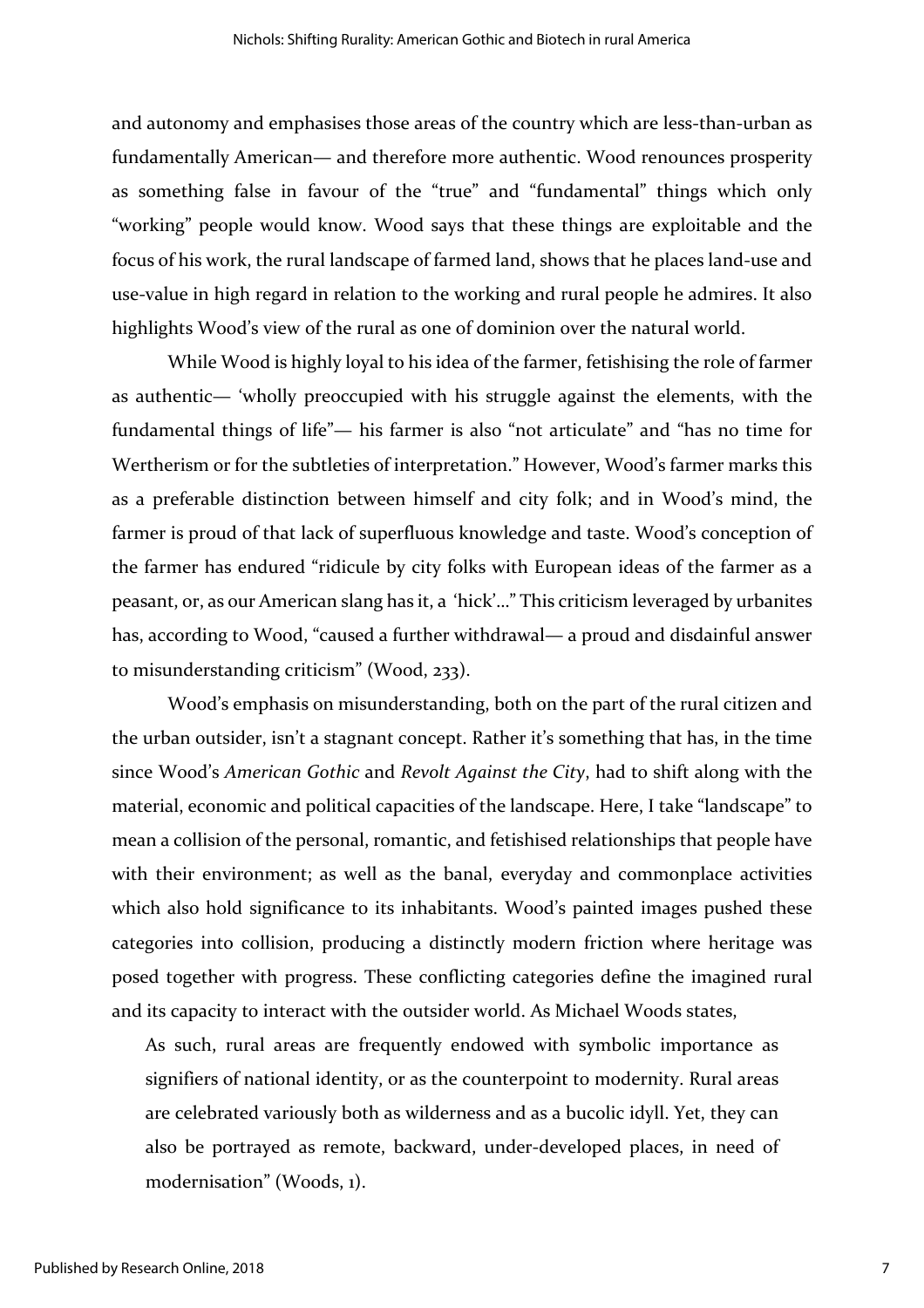and autonomy and emphasises those areas of the country which are less-than-urban as fundamentally American— and therefore more authentic. Wood renounces prosperity as something false in favour of the "true" and "fundamental" things which only "working" people would know. Wood says that these things are exploitable and the focus of his work, the rural landscape of farmed land, shows that he places land-use and use-value in high regard in relation to the working and rural people he admires. It also highlights Wood's view of the rural as one of dominion over the natural world.

While Wood is highly loyal to his idea of the farmer, fetishising the role of farmer as authentic— 'wholly preoccupied with his struggle against the elements, with the fundamental things of life"— his farmer is also "not articulate" and "has no time for Wertherism or for the subtleties of interpretation." However, Wood's farmer marks this as a preferable distinction between himself and city folk; and in Wood's mind, the farmer is proud of that lack of superfluous knowledge and taste. Wood's conception of the farmer has endured "ridicule by city folks with European ideas of the farmer as a peasant, or, as our American slang has it, a 'hick'…" This criticism leveraged by urbanites has, according to Wood, "caused a further withdrawal— a proud and disdainful answer to misunderstanding criticism" (Wood, 233).

Wood's emphasis on misunderstanding, both on the part of the rural citizen and the urban outsider, isn't a stagnant concept. Rather it's something that has, in the time since Wood's *American Gothic* and *Revolt Against the City*, had to shift along with the material, economic and political capacities of the landscape. Here, I take "landscape" to mean a collision of the personal, romantic, and fetishised relationships that people have with their environment; as well as the banal, everyday and commonplace activities which also hold significance to its inhabitants. Wood's painted images pushed these categories into collision, producing a distinctly modern friction where heritage was posed together with progress. These conflicting categories define the imagined rural and its capacity to interact with the outsider world. As Michael Woods states,

As such, rural areas are frequently endowed with symbolic importance as signifiers of national identity, or as the counterpoint to modernity. Rural areas are celebrated variously both as wilderness and as a bucolic idyll. Yet, they can also be portrayed as remote, backward, under-developed places, in need of modernisation" (Woods, 1).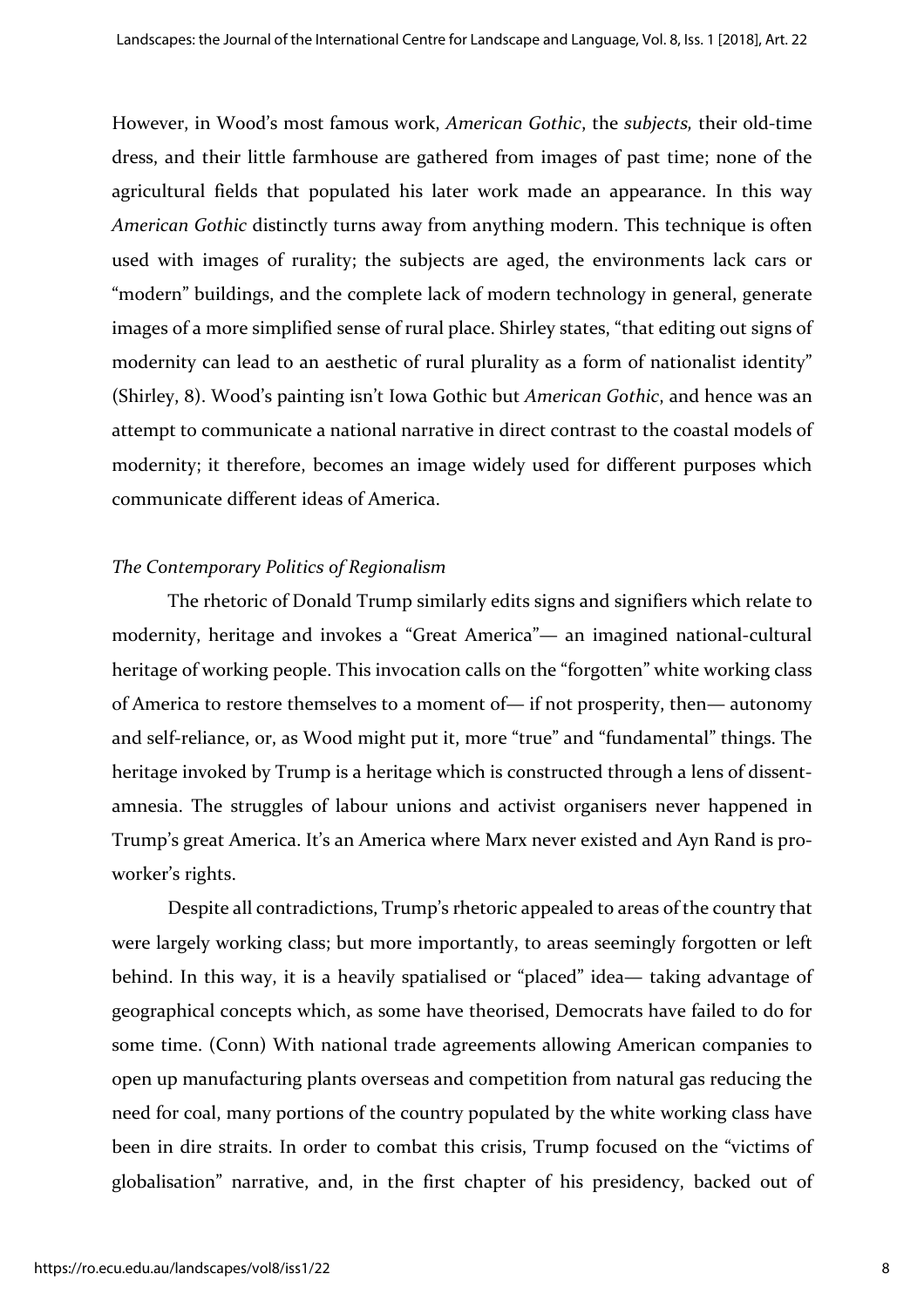However, in Wood's most famous work, *American Gothic*, the *subjects,* their old-time dress, and their little farmhouse are gathered from images of past time; none of the agricultural fields that populated his later work made an appearance. In this way *American Gothic* distinctly turns away from anything modern. This technique is often used with images of rurality; the subjects are aged, the environments lack cars or "modern" buildings, and the complete lack of modern technology in general, generate images of a more simplified sense of rural place. Shirley states, "that editing out signs of modernity can lead to an aesthetic of rural plurality as a form of nationalist identity" (Shirley, 8). Wood's painting isn't Iowa Gothic but *American Gothic*, and hence was an attempt to communicate a national narrative in direct contrast to the coastal models of modernity; it therefore, becomes an image widely used for different purposes which communicate different ideas of America.

#### *The Contemporary Politics of Regionalism*

The rhetoric of Donald Trump similarly edits signs and signifiers which relate to modernity, heritage and invokes a "Great America"— an imagined national-cultural heritage of working people. This invocation calls on the "forgotten" white working class of America to restore themselves to a moment of— if not prosperity, then— autonomy and self-reliance, or, as Wood might put it, more "true" and "fundamental" things. The heritage invoked by Trump is a heritage which is constructed through a lens of dissentamnesia. The struggles of labour unions and activist organisers never happened in Trump's great America. It's an America where Marx never existed and Ayn Rand is proworker's rights.

Despite all contradictions, Trump's rhetoric appealed to areas of the country that were largely working class; but more importantly, to areas seemingly forgotten or left behind. In this way, it is a heavily spatialised or "placed" idea— taking advantage of geographical concepts which, as some have theorised, Democrats have failed to do for some time. (Conn) With national trade agreements allowing American companies to open up manufacturing plants overseas and competition from natural gas reducing the need for coal, many portions of the country populated by the white working class have been in dire straits. In order to combat this crisis, Trump focused on the "victims of globalisation" narrative, and, in the first chapter of his presidency, backed out of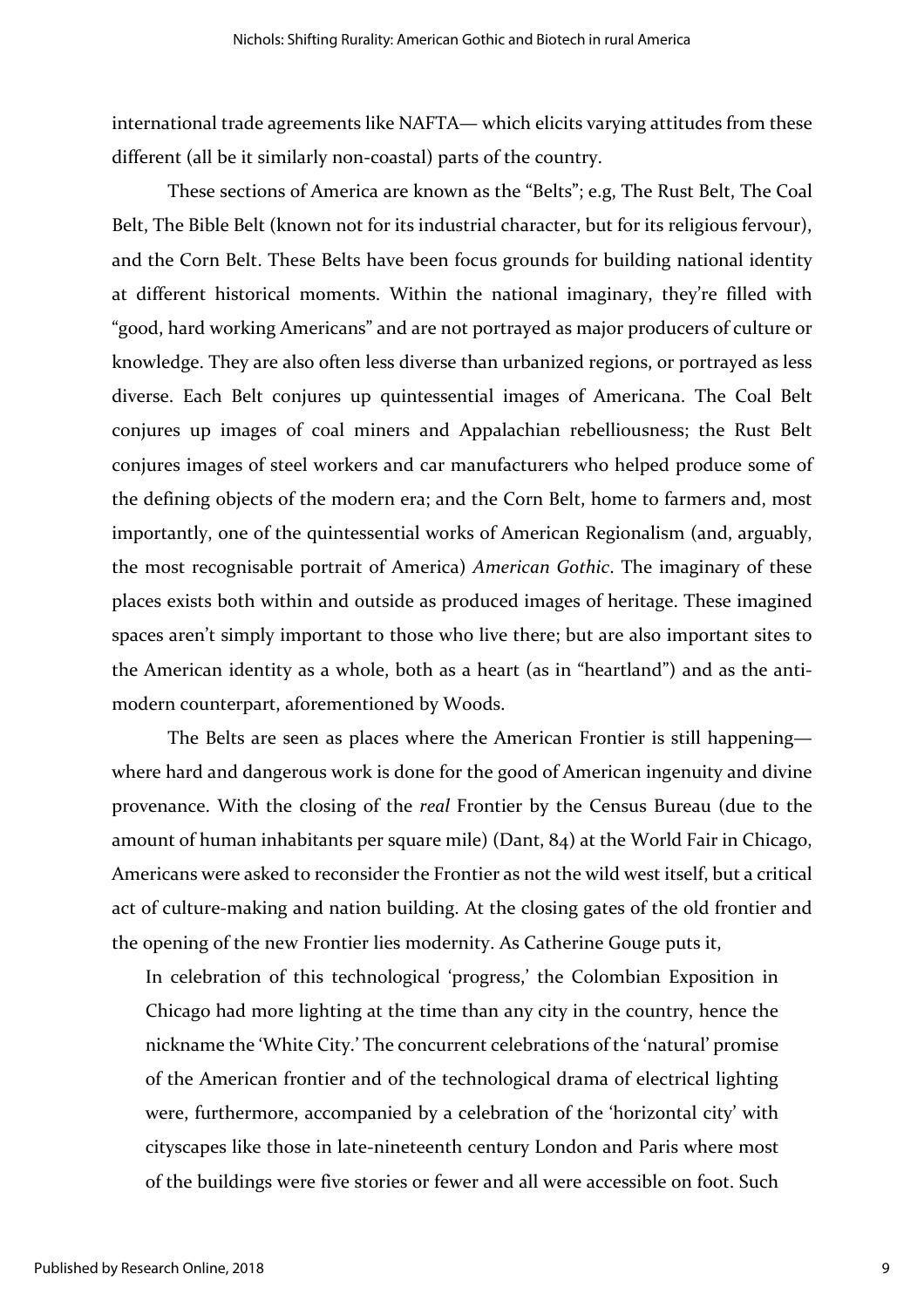international trade agreements like NAFTA— which elicits varying attitudes from these different (all be it similarly non-coastal) parts of the country.

These sections of America are known as the "Belts"; e.g, The Rust Belt, The Coal Belt, The Bible Belt (known not for its industrial character, but for its religious fervour), and the Corn Belt. These Belts have been focus grounds for building national identity at different historical moments. Within the national imaginary, they're filled with "good, hard working Americans" and are not portrayed as major producers of culture or knowledge. They are also often less diverse than urbanized regions, or portrayed as less diverse. Each Belt conjures up quintessential images of Americana. The Coal Belt conjures up images of coal miners and Appalachian rebelliousness; the Rust Belt conjures images of steel workers and car manufacturers who helped produce some of the defining objects of the modern era; and the Corn Belt, home to farmers and, most importantly, one of the quintessential works of American Regionalism (and, arguably, the most recognisable portrait of America) *American Gothic*. The imaginary of these places exists both within and outside as produced images of heritage. These imagined spaces aren't simply important to those who live there; but are also important sites to the American identity as a whole, both as a heart (as in "heartland") and as the antimodern counterpart, aforementioned by Woods.

The Belts are seen as places where the American Frontier is still happening where hard and dangerous work is done for the good of American ingenuity and divine provenance. With the closing of the *real* Frontier by the Census Bureau (due to the amount of human inhabitants per square mile) (Dant, 84) at the World Fair in Chicago, Americans were asked to reconsider the Frontier as not the wild west itself, but a critical act of culture-making and nation building. At the closing gates of the old frontier and the opening of the new Frontier lies modernity. As Catherine Gouge puts it,

In celebration of this technological 'progress,' the Colombian Exposition in Chicago had more lighting at the time than any city in the country, hence the nickname the 'White City.' The concurrent celebrations of the 'natural' promise of the American frontier and of the technological drama of electrical lighting were, furthermore, accompanied by a celebration of the 'horizontal city' with cityscapes like those in late-nineteenth century London and Paris where most of the buildings were five stories or fewer and all were accessible on foot. Such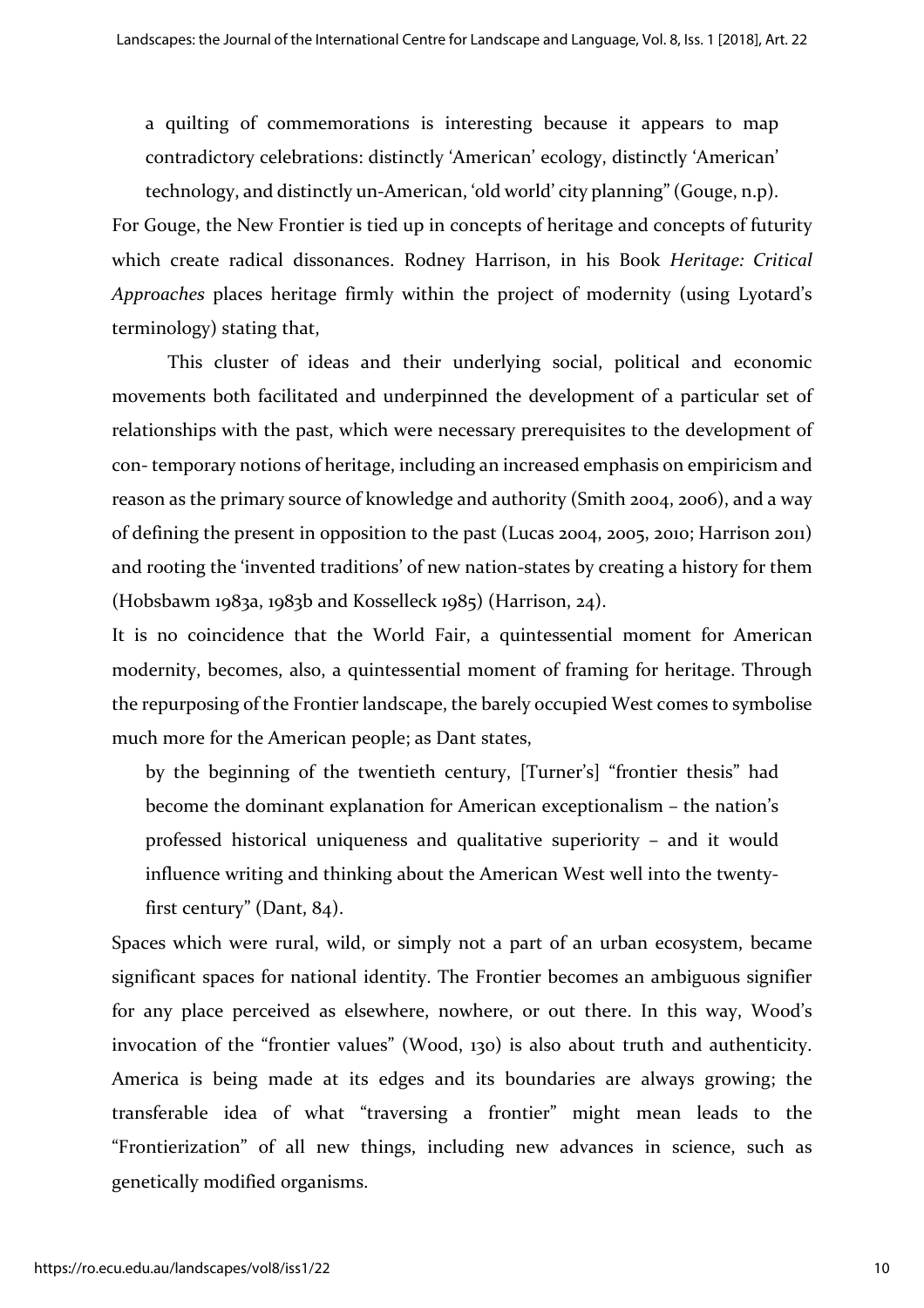a quilting of commemorations is interesting because it appears to map contradictory celebrations: distinctly 'American' ecology, distinctly 'American' technology, and distinctly un-American, 'old world' city planning" (Gouge, n.p).

For Gouge, the New Frontier is tied up in concepts of heritage and concepts of futurity which create radical dissonances. Rodney Harrison, in his Book *Heritage: Critical Approaches* places heritage firmly within the project of modernity (using Lyotard's terminology) stating that,

This cluster of ideas and their underlying social, political and economic movements both facilitated and underpinned the development of a particular set of relationships with the past, which were necessary prerequisites to the development of con- temporary notions of heritage, including an increased emphasis on empiricism and reason as the primary source of knowledge and authority (Smith 2004, 2006), and a way of defining the present in opposition to the past (Lucas 2004, 2005, 2010; Harrison 2011) and rooting the 'invented traditions' of new nation-states by creating a history for them (Hobsbawm 1983a, 1983b and Kosselleck 1985) (Harrison, 24).

It is no coincidence that the World Fair, a quintessential moment for American modernity, becomes, also, a quintessential moment of framing for heritage. Through the repurposing of the Frontier landscape, the barely occupied West comes to symbolise much more for the American people; as Dant states,

by the beginning of the twentieth century, [Turner's] "frontier thesis" had become the dominant explanation for American exceptionalism – the nation's professed historical uniqueness and qualitative superiority – and it would influence writing and thinking about the American West well into the twenty‐ first century" (Dant, 84).

Spaces which were rural, wild, or simply not a part of an urban ecosystem, became significant spaces for national identity. The Frontier becomes an ambiguous signifier for any place perceived as elsewhere, nowhere, or out there. In this way, Wood's invocation of the "frontier values" (Wood, 130) is also about truth and authenticity. America is being made at its edges and its boundaries are always growing; the transferable idea of what "traversing a frontier" might mean leads to the "Frontierization" of all new things, including new advances in science, such as genetically modified organisms.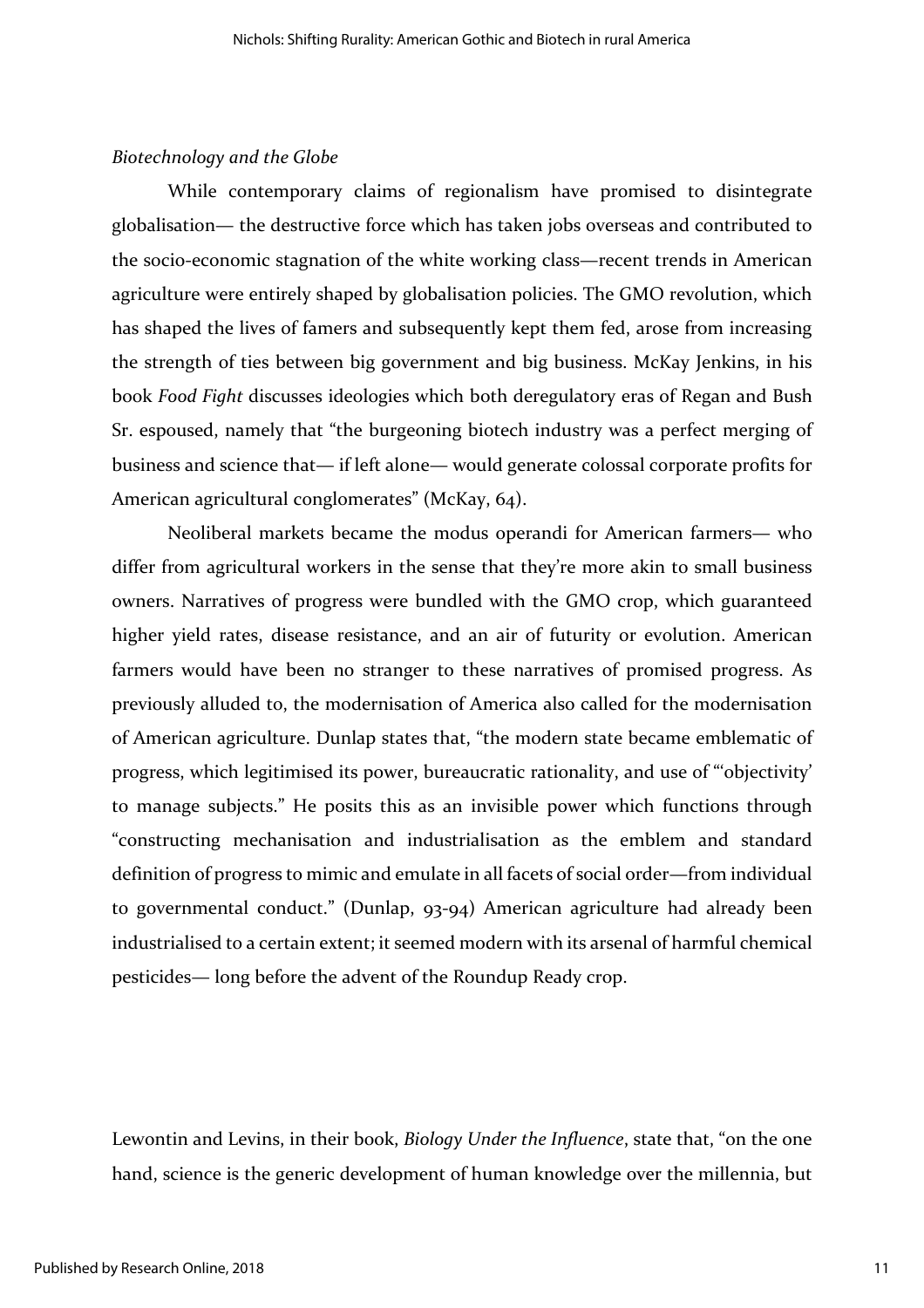#### *Biotechnology and the Globe*

While contemporary claims of regionalism have promised to disintegrate globalisation— the destructive force which has taken jobs overseas and contributed to the socio-economic stagnation of the white working class—recent trends in American agriculture were entirely shaped by globalisation policies. The GMO revolution, which has shaped the lives of famers and subsequently kept them fed, arose from increasing the strength of ties between big government and big business. McKay Jenkins, in his book *Food Fight* discusses ideologies which both deregulatory eras of Regan and Bush Sr. espoused, namely that "the burgeoning biotech industry was a perfect merging of business and science that— if left alone— would generate colossal corporate profits for American agricultural conglomerates" (McKay, 64).

Neoliberal markets became the modus operandi for American farmers— who differ from agricultural workers in the sense that they're more akin to small business owners. Narratives of progress were bundled with the GMO crop, which guaranteed higher yield rates, disease resistance, and an air of futurity or evolution. American farmers would have been no stranger to these narratives of promised progress. As previously alluded to, the modernisation of America also called for the modernisation of American agriculture. Dunlap states that, "the modern state became emblematic of progress, which legitimised its power, bureaucratic rationality, and use of "'objectivity' to manage subjects." He posits this as an invisible power which functions through "constructing mechanisation and industrialisation as the emblem and standard definition of progress to mimic and emulate in all facets of social order—from individual to governmental conduct." (Dunlap, 93-94) American agriculture had already been industrialised to a certain extent; it seemed modern with its arsenal of harmful chemical pesticides— long before the advent of the Roundup Ready crop.

Lewontin and Levins, in their book, *Biology Under the Influence*, state that, "on the one hand, science is the generic development of human knowledge over the millennia, but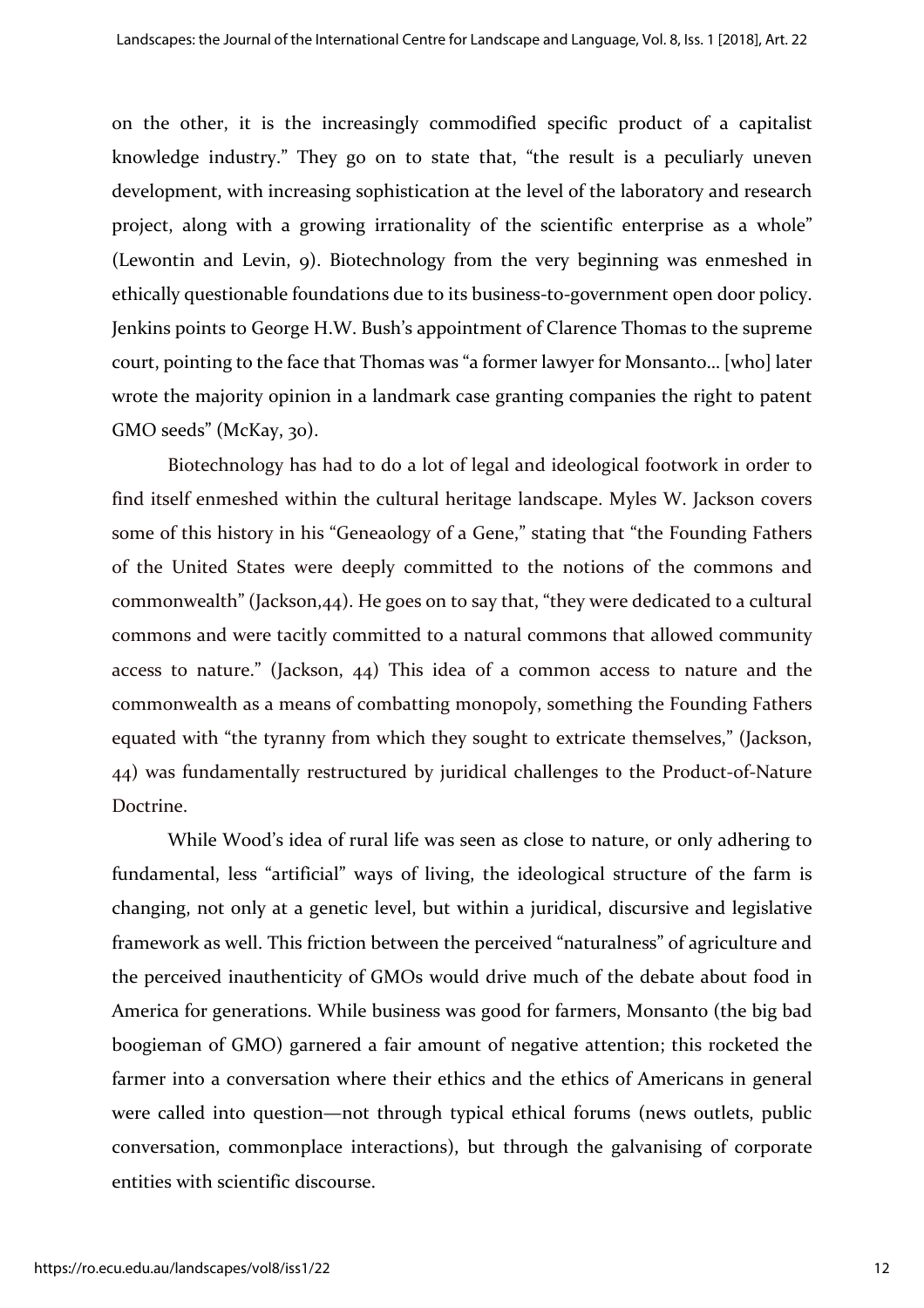on the other, it is the increasingly commodified specific product of a capitalist knowledge industry." They go on to state that, "the result is a peculiarly uneven development, with increasing sophistication at the level of the laboratory and research project, along with a growing irrationality of the scientific enterprise as a whole" (Lewontin and Levin, 9). Biotechnology from the very beginning was enmeshed in ethically questionable foundations due to its business-to-government open door policy. Jenkins points to George H.W. Bush's appointment of Clarence Thomas to the supreme court, pointing to the face that Thomas was "a former lawyer for Monsanto… [who] later wrote the majority opinion in a landmark case granting companies the right to patent GMO seeds" (McKay, 30).

Biotechnology has had to do a lot of legal and ideological footwork in order to find itself enmeshed within the cultural heritage landscape. Myles W. Jackson covers some of this history in his "Geneaology of a Gene," stating that "the Founding Fathers of the United States were deeply committed to the notions of the commons and commonwealth" (Jackson,44). He goes on to say that, "they were dedicated to a cultural commons and were tacitly committed to a natural commons that allowed community access to nature." (Jackson, 44) This idea of a common access to nature and the commonwealth as a means of combatting monopoly, something the Founding Fathers equated with "the tyranny from which they sought to extricate themselves," (Jackson, 44) was fundamentally restructured by juridical challenges to the Product-of-Nature Doctrine.

While Wood's idea of rural life was seen as close to nature, or only adhering to fundamental, less "artificial" ways of living, the ideological structure of the farm is changing, not only at a genetic level, but within a juridical, discursive and legislative framework as well. This friction between the perceived "naturalness" of agriculture and the perceived inauthenticity of GMOs would drive much of the debate about food in America for generations. While business was good for farmers, Monsanto (the big bad boogieman of GMO) garnered a fair amount of negative attention; this rocketed the farmer into a conversation where their ethics and the ethics of Americans in general were called into question—not through typical ethical forums (news outlets, public conversation, commonplace interactions), but through the galvanising of corporate entities with scientific discourse.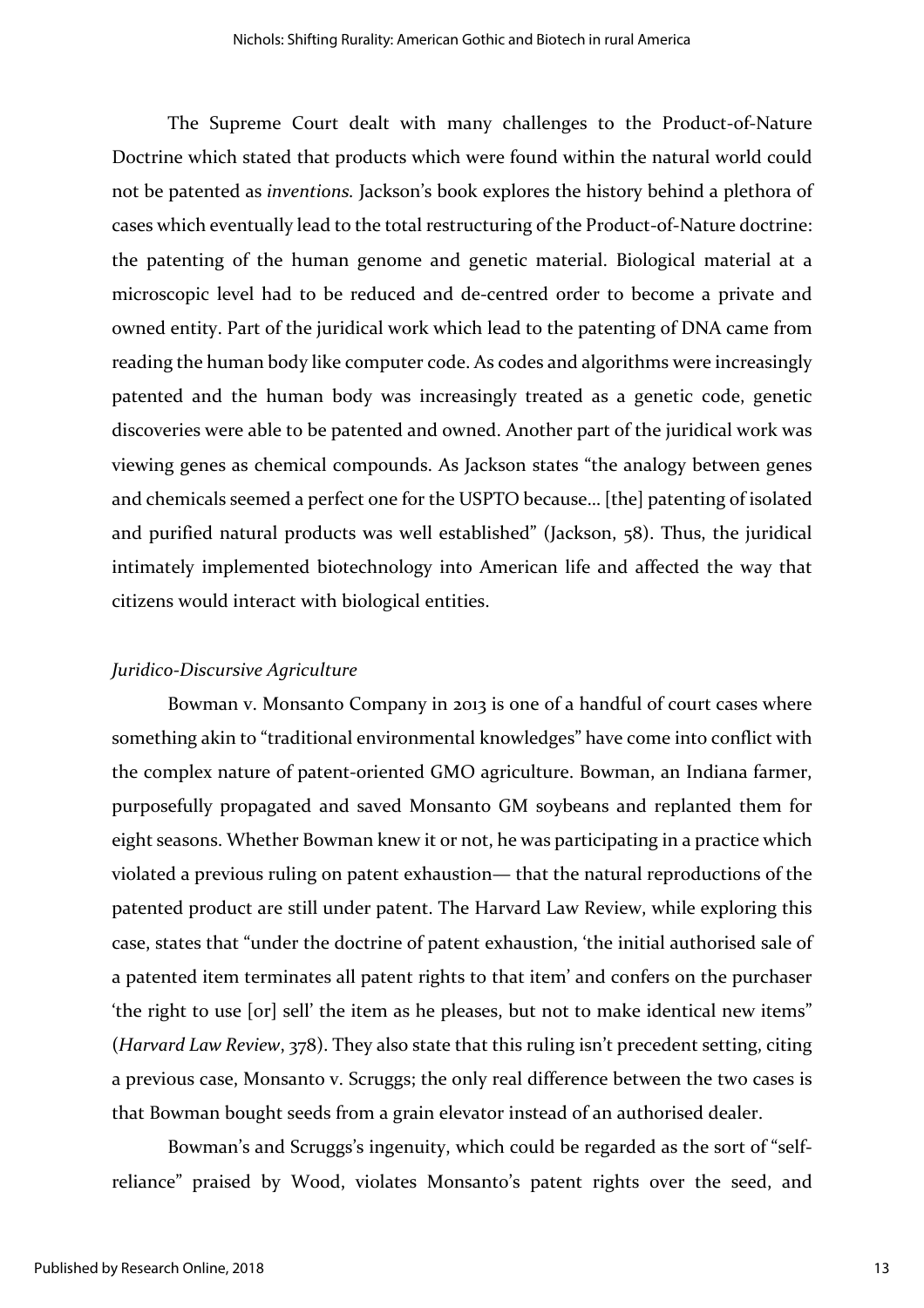The Supreme Court dealt with many challenges to the Product-of-Nature Doctrine which stated that products which were found within the natural world could not be patented as *inventions.* Jackson's book explores the history behind a plethora of cases which eventually lead to the total restructuring of the Product-of-Nature doctrine: the patenting of the human genome and genetic material. Biological material at a microscopic level had to be reduced and de-centred order to become a private and owned entity. Part of the juridical work which lead to the patenting of DNA came from reading the human body like computer code. As codes and algorithms were increasingly patented and the human body was increasingly treated as a genetic code, genetic discoveries were able to be patented and owned. Another part of the juridical work was viewing genes as chemical compounds. As Jackson states "the analogy between genes and chemicals seemed a perfect one for the USPTO because… [the] patenting of isolated and purified natural products was well established" (Jackson, 58). Thus, the juridical intimately implemented biotechnology into American life and affected the way that citizens would interact with biological entities.

#### *Juridico-Discursive Agriculture*

Bowman v. Monsanto Company in 2013 is one of a handful of court cases where something akin to "traditional environmental knowledges" have come into conflict with the complex nature of patent-oriented GMO agriculture. Bowman, an Indiana farmer, purposefully propagated and saved Monsanto GM soybeans and replanted them for eight seasons. Whether Bowman knew it or not, he was participating in a practice which violated a previous ruling on patent exhaustion— that the natural reproductions of the patented product are still under patent. The Harvard Law Review, while exploring this case, states that "under the doctrine of patent exhaustion, 'the initial authorised sale of a patented item terminates all patent rights to that item' and confers on the purchaser 'the right to use [or] sell' the item as he pleases, but not to make identical new items" (*Harvard Law Review*, 378). They also state that this ruling isn't precedent setting, citing a previous case, Monsanto v. Scruggs; the only real difference between the two cases is that Bowman bought seeds from a grain elevator instead of an authorised dealer.

Bowman's and Scruggs's ingenuity, which could be regarded as the sort of "selfreliance" praised by Wood, violates Monsanto's patent rights over the seed, and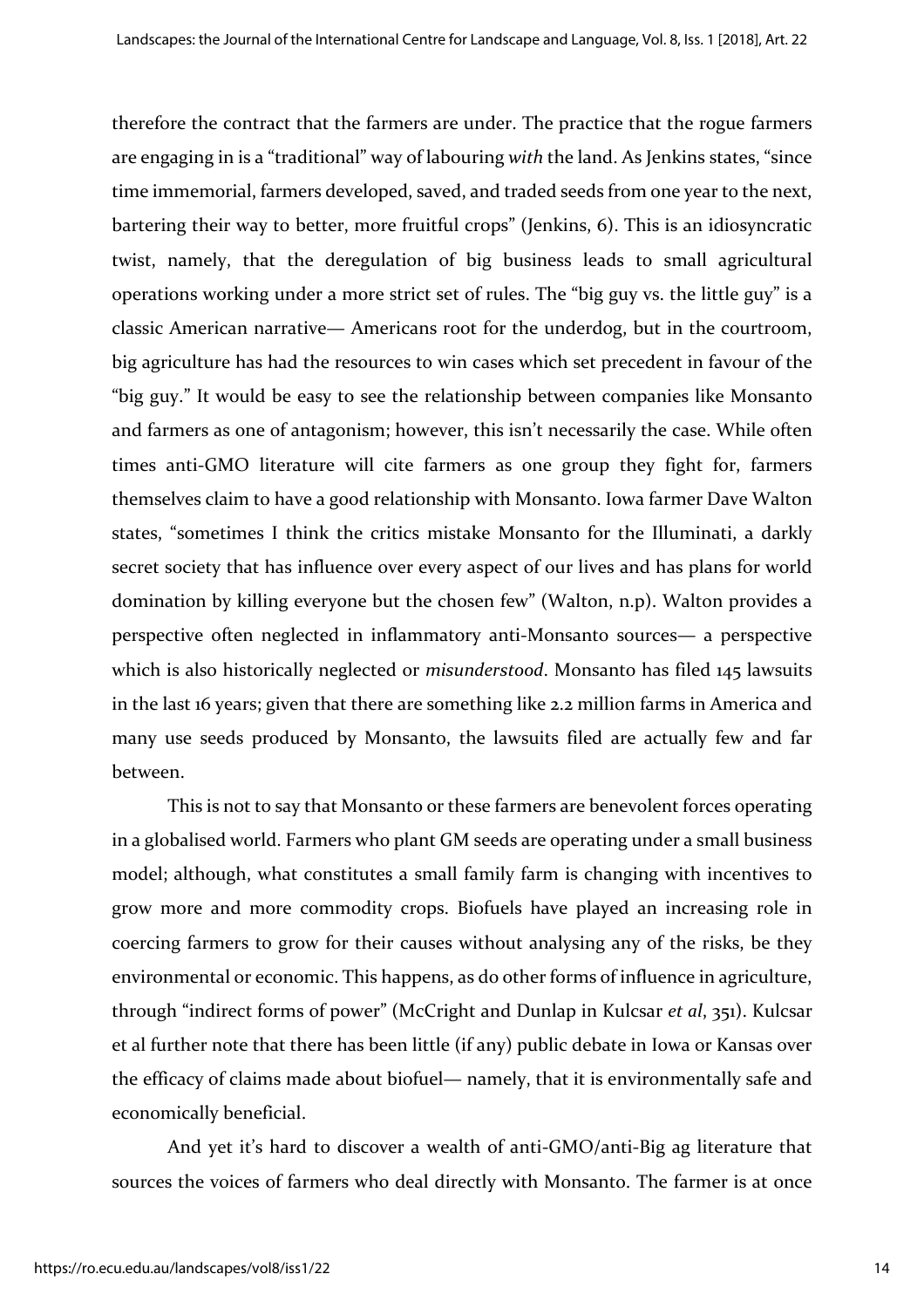therefore the contract that the farmers are under. The practice that the rogue farmers are engaging in is a "traditional" way of labouring *with* the land. As Jenkins states, "since time immemorial, farmers developed, saved, and traded seeds from one year to the next, bartering their way to better, more fruitful crops" (Jenkins, 6). This is an idiosyncratic twist, namely, that the deregulation of big business leads to small agricultural operations working under a more strict set of rules. The "big guy vs. the little guy" is a classic American narrative— Americans root for the underdog, but in the courtroom, big agriculture has had the resources to win cases which set precedent in favour of the "big guy." It would be easy to see the relationship between companies like Monsanto and farmers as one of antagonism; however, this isn't necessarily the case. While often times anti-GMO literature will cite farmers as one group they fight for, farmers themselves claim to have a good relationship with Monsanto. Iowa farmer Dave Walton states, "sometimes I think the critics mistake Monsanto for the Illuminati, a darkly secret society that has influence over every aspect of our lives and has plans for world domination by killing everyone but the chosen few" (Walton, n.p). Walton provides a perspective often neglected in inflammatory anti-Monsanto sources— a perspective which is also historically neglected or *misunderstood*. Monsanto has filed 145 lawsuits in the last 16 years; given that there are something like 2.2 million farms in America and many use seeds produced by Monsanto, the lawsuits filed are actually few and far between.

This is not to say that Monsanto or these farmers are benevolent forces operating in a globalised world. Farmers who plant GM seeds are operating under a small business model; although, what constitutes a small family farm is changing with incentives to grow more and more commodity crops. Biofuels have played an increasing role in coercing farmers to grow for their causes without analysing any of the risks, be they environmental or economic. This happens, as do other forms of influence in agriculture, through "indirect forms of power" (McCright and Dunlap in Kulcsar *et al*, 351). Kulcsar et al further note that there has been little (if any) public debate in Iowa or Kansas over the efficacy of claims made about biofuel— namely, that it is environmentally safe and economically beneficial.

And yet it's hard to discover a wealth of anti-GMO/anti-Big ag literature that sources the voices of farmers who deal directly with Monsanto. The farmer is at once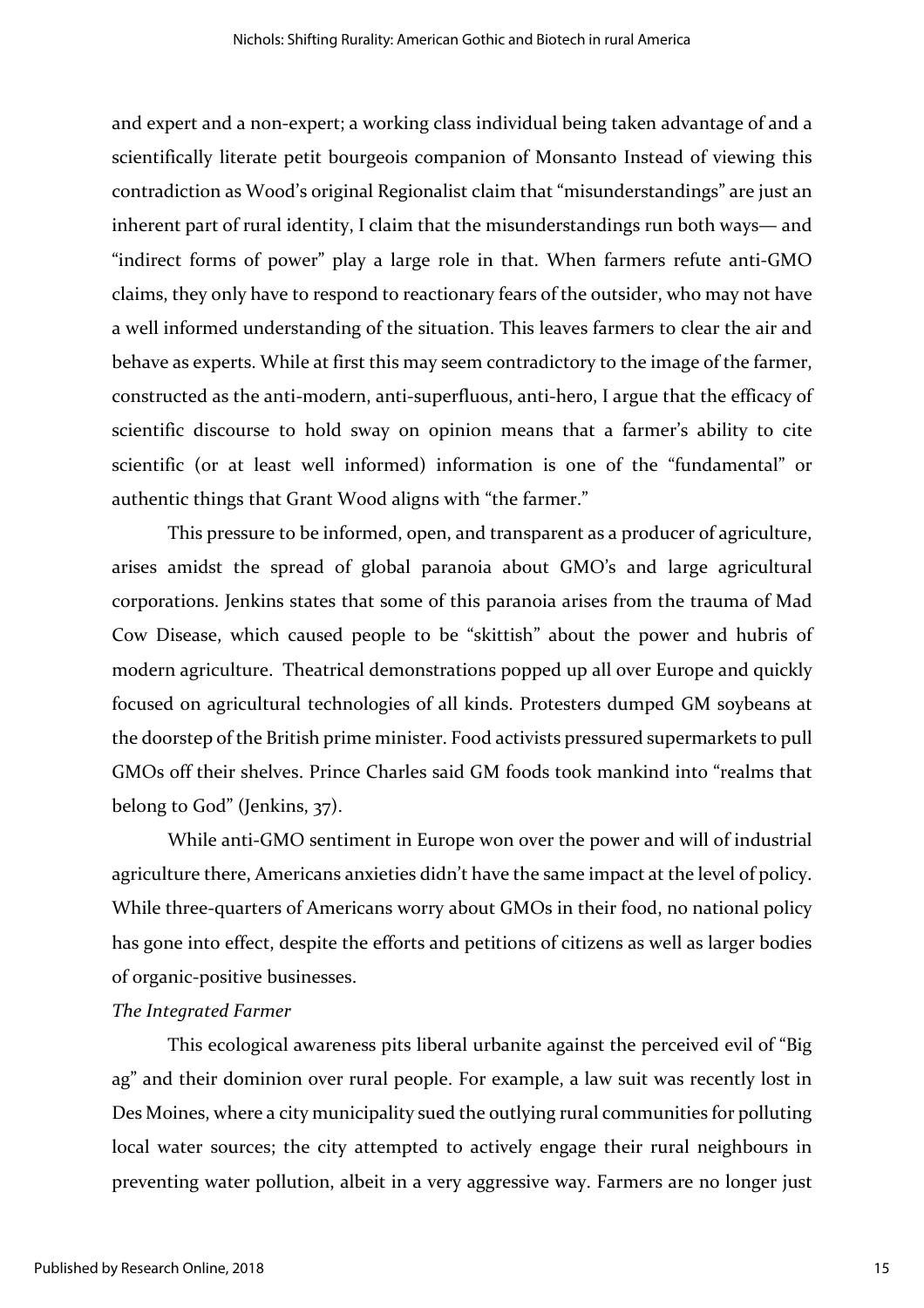and expert and a non-expert; a working class individual being taken advantage of and a scientifically literate petit bourgeois companion of Monsanto Instead of viewing this contradiction as Wood's original Regionalist claim that "misunderstandings" are just an inherent part of rural identity, I claim that the misunderstandings run both ways— and "indirect forms of power" play a large role in that. When farmers refute anti-GMO claims, they only have to respond to reactionary fears of the outsider, who may not have a well informed understanding of the situation. This leaves farmers to clear the air and behave as experts. While at first this may seem contradictory to the image of the farmer, constructed as the anti-modern, anti-superfluous, anti-hero, I argue that the efficacy of scientific discourse to hold sway on opinion means that a farmer's ability to cite scientific (or at least well informed) information is one of the "fundamental" or authentic things that Grant Wood aligns with "the farmer."

This pressure to be informed, open, and transparent as a producer of agriculture, arises amidst the spread of global paranoia about GMO's and large agricultural corporations. Jenkins states that some of this paranoia arises from the trauma of Mad Cow Disease, which caused people to be "skittish" about the power and hubris of modern agriculture. Theatrical demonstrations popped up all over Europe and quickly focused on agricultural technologies of all kinds. Protesters dumped GM soybeans at the doorstep of the British prime minister. Food activists pressured supermarkets to pull GMOs off their shelves. Prince Charles said GM foods took mankind into "realms that belong to God" (Jenkins, 37).

While anti-GMO sentiment in Europe won over the power and will of industrial agriculture there, Americans anxieties didn't have the same impact at the level of policy. While three-quarters of Americans worry about GMOs in their food, no national policy has gone into effect, despite the efforts and petitions of citizens as well as larger bodies of organic-positive businesses.

#### *The Integrated Farmer*

This ecological awareness pits liberal urbanite against the perceived evil of "Big ag" and their dominion over rural people. For example, a law suit was recently lost in Des Moines, where a city municipality sued the outlying rural communities for polluting local water sources; the city attempted to actively engage their rural neighbours in preventing water pollution, albeit in a very aggressive way. Farmers are no longer just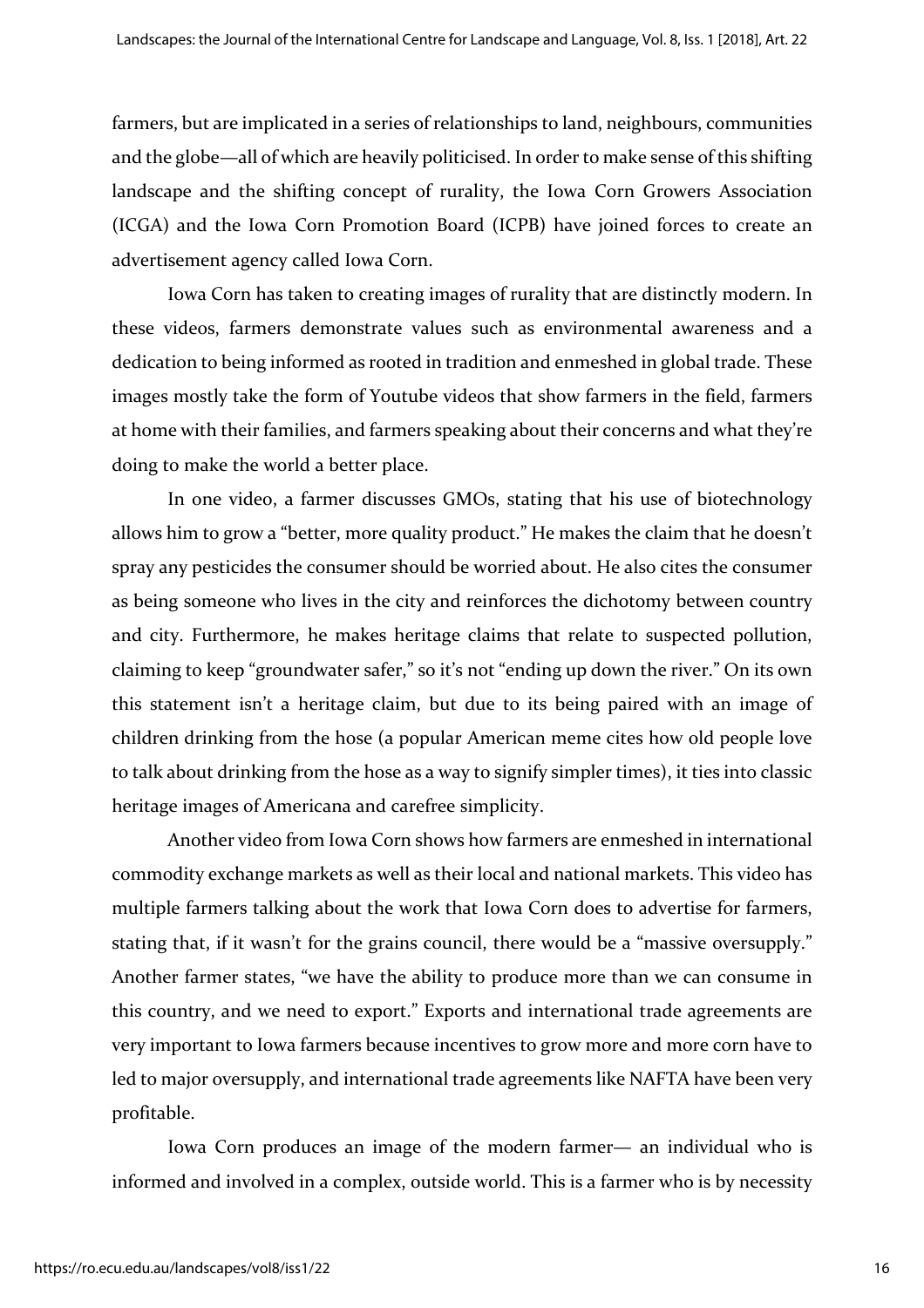farmers, but are implicated in a series of relationships to land, neighbours, communities and the globe—all of which are heavily politicised. In order to make sense of this shifting landscape and the shifting concept of rurality, the Iowa Corn Growers Association (ICGA) and the Iowa Corn Promotion Board (ICPB) have joined forces to create an advertisement agency called Iowa Corn.

Iowa Corn has taken to creating images of rurality that are distinctly modern. In these videos, farmers demonstrate values such as environmental awareness and a dedication to being informed as rooted in tradition and enmeshed in global trade. These images mostly take the form of Youtube videos that show farmers in the field, farmers at home with their families, and farmers speaking about their concerns and what they're doing to make the world a better place.

In one video, a farmer discusses GMOs, stating that his use of biotechnology allows him to grow a "better, more quality product." He makes the claim that he doesn't spray any pesticides the consumer should be worried about. He also cites the consumer as being someone who lives in the city and reinforces the dichotomy between country and city. Furthermore, he makes heritage claims that relate to suspected pollution, claiming to keep "groundwater safer," so it's not "ending up down the river." On its own this statement isn't a heritage claim, but due to its being paired with an image of children drinking from the hose (a popular American meme cites how old people love to talk about drinking from the hose as a way to signify simpler times), it ties into classic heritage images of Americana and carefree simplicity.

Another video from Iowa Corn shows how farmers are enmeshed in international commodity exchange markets as well as their local and national markets. This video has multiple farmers talking about the work that Iowa Corn does to advertise for farmers, stating that, if it wasn't for the grains council, there would be a "massive oversupply." Another farmer states, "we have the ability to produce more than we can consume in this country, and we need to export." Exports and international trade agreements are very important to Iowa farmers because incentives to grow more and more corn have to led to major oversupply, and international trade agreements like NAFTA have been very profitable.

Iowa Corn produces an image of the modern farmer— an individual who is informed and involved in a complex, outside world. This is a farmer who is by necessity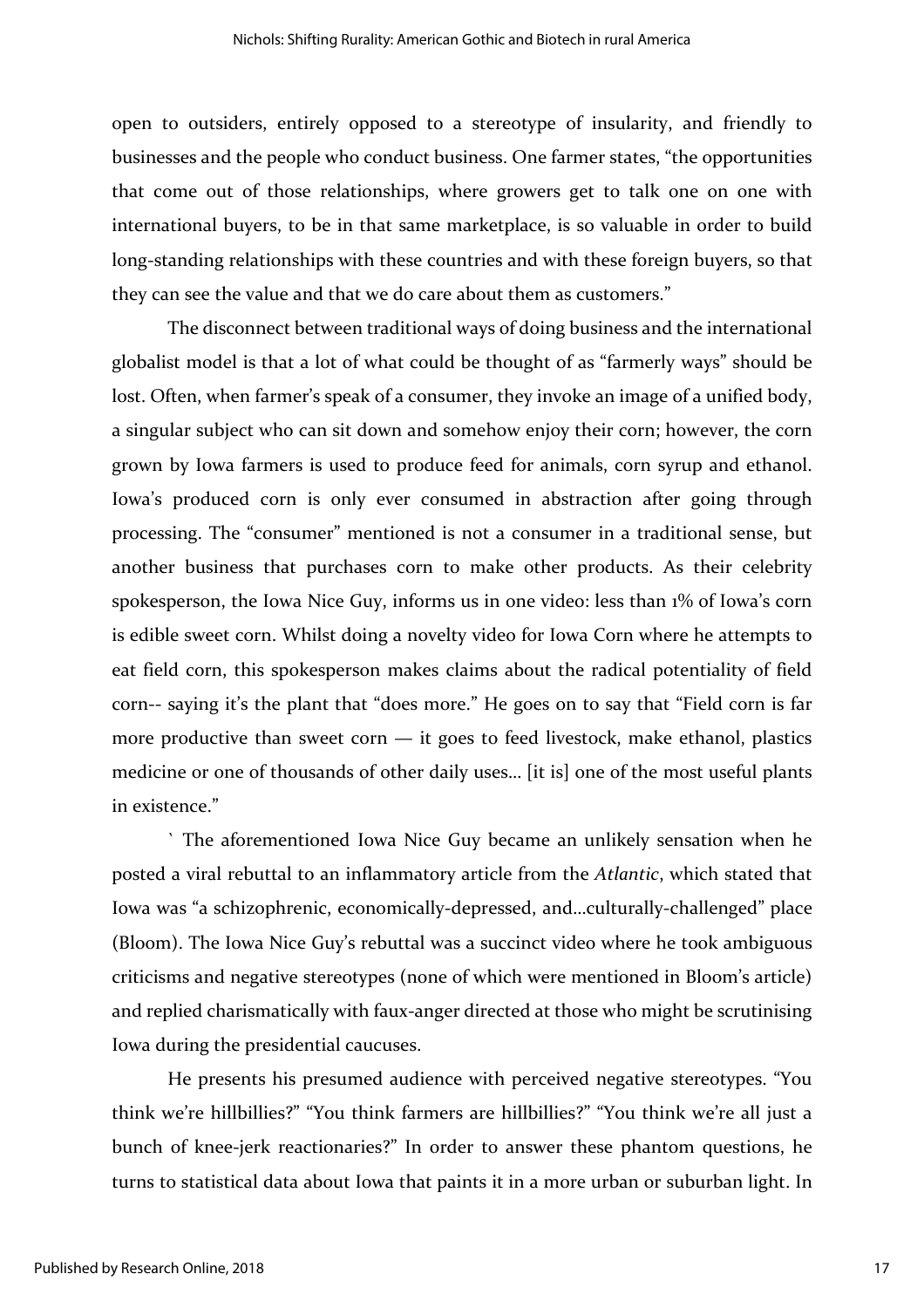open to outsiders, entirely opposed to a stereotype of insularity, and friendly to businesses and the people who conduct business. One farmer states, "the opportunities that come out of those relationships, where growers get to talk one on one with international buyers, to be in that same marketplace, is so valuable in order to build long-standing relationships with these countries and with these foreign buyers, so that they can see the value and that we do care about them as customers."

The disconnect between traditional ways of doing business and the international globalist model is that a lot of what could be thought of as "farmerly ways" should be lost. Often, when farmer's speak of a consumer, they invoke an image of a unified body, a singular subject who can sit down and somehow enjoy their corn; however, the corn grown by Iowa farmers is used to produce feed for animals, corn syrup and ethanol. Iowa's produced corn is only ever consumed in abstraction after going through processing. The "consumer" mentioned is not a consumer in a traditional sense, but another business that purchases corn to make other products. As their celebrity spokesperson, the Iowa Nice Guy, informs us in one video: less than 1% of Iowa's corn is edible sweet corn. Whilst doing a novelty video for Iowa Corn where he attempts to eat field corn, this spokesperson makes claims about the radical potentiality of field corn-- saying it's the plant that "does more." He goes on to say that "Field corn is far more productive than sweet corn  $-$  it goes to feed livestock, make ethanol, plastics medicine or one of thousands of other daily uses… [it is] one of the most useful plants in existence."

` The aforementioned Iowa Nice Guy became an unlikely sensation when he posted a viral rebuttal to an inflammatory article from the *Atlantic*, which stated that Iowa was "a schizophrenic, economically-depressed, and…culturally-challenged" place (Bloom). The Iowa Nice Guy's rebuttal was a succinct video where he took ambiguous criticisms and negative stereotypes (none of which were mentioned in Bloom's article) and replied charismatically with faux-anger directed at those who might be scrutinising Iowa during the presidential caucuses.

He presents his presumed audience with perceived negative stereotypes. "You think we're hillbillies?" "You think farmers are hillbillies?" "You think we're all just a bunch of knee-jerk reactionaries?" In order to answer these phantom questions, he turns to statistical data about Iowa that paints it in a more urban or suburban light. In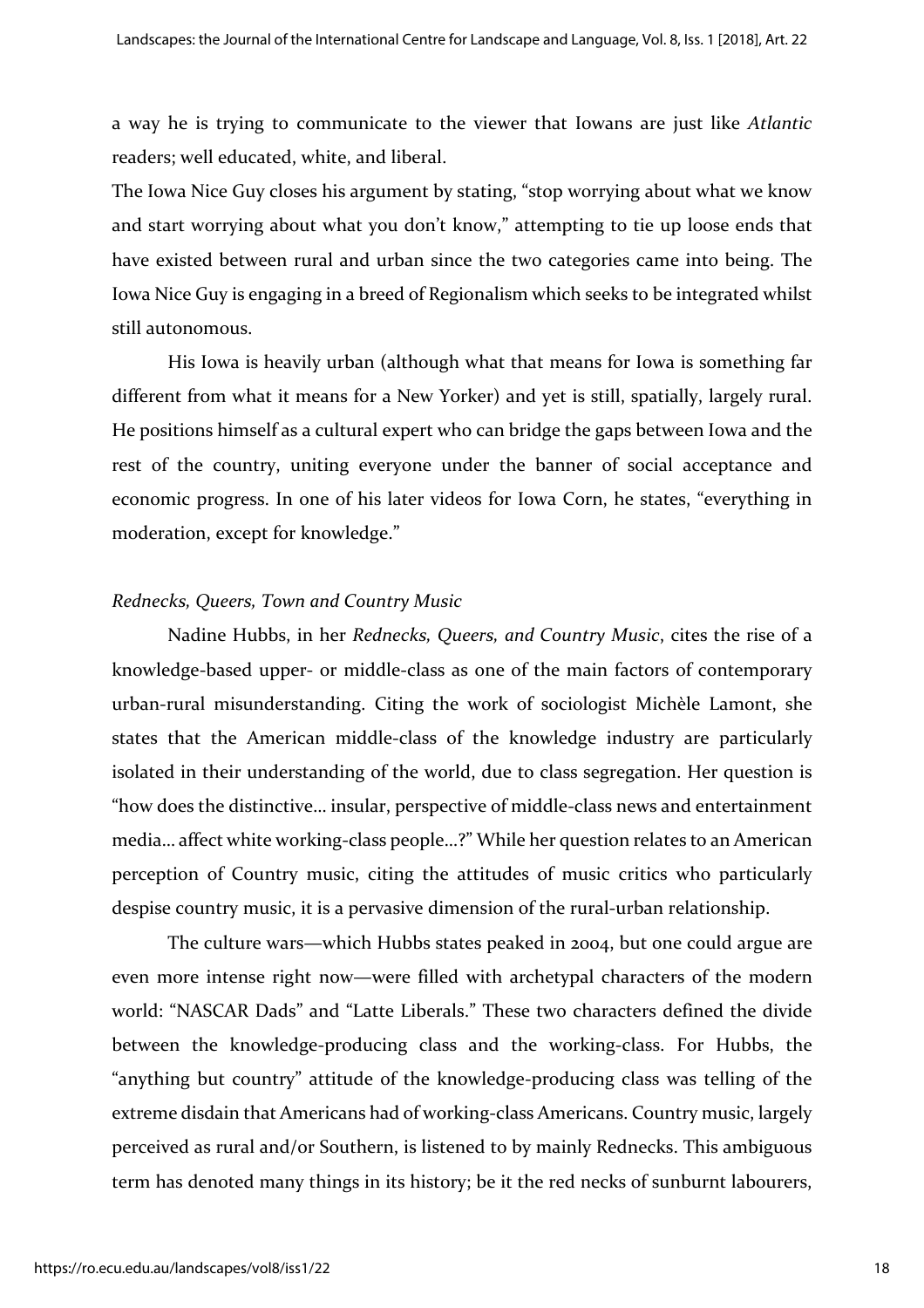a way he is trying to communicate to the viewer that Iowans are just like *Atlantic* readers; well educated, white, and liberal.

The Iowa Nice Guy closes his argument by stating, "stop worrying about what we know and start worrying about what you don't know," attempting to tie up loose ends that have existed between rural and urban since the two categories came into being. The Iowa Nice Guy is engaging in a breed of Regionalism which seeks to be integrated whilst still autonomous.

His Iowa is heavily urban (although what that means for Iowa is something far different from what it means for a New Yorker) and yet is still, spatially, largely rural. He positions himself as a cultural expert who can bridge the gaps between Iowa and the rest of the country, uniting everyone under the banner of social acceptance and economic progress. In one of his later videos for Iowa Corn, he states, "everything in moderation, except for knowledge."

#### *Rednecks, Queers, Town and Country Music*

Nadine Hubbs, in her *Rednecks, Queers, and Country Music*, cites the rise of a knowledge-based upper- or middle-class as one of the main factors of contemporary urban-rural misunderstanding. Citing the work of sociologist Michèle Lamont, she states that the American middle-class of the knowledge industry are particularly isolated in their understanding of the world, due to class segregation. Her question is "how does the distinctive… insular, perspective of middle-class news and entertainment media… affect white working-class people…?" While her question relates to an American perception of Country music, citing the attitudes of music critics who particularly despise country music, it is a pervasive dimension of the rural-urban relationship.

The culture wars—which Hubbs states peaked in 2004, but one could argue are even more intense right now—were filled with archetypal characters of the modern world: "NASCAR Dads" and "Latte Liberals." These two characters defined the divide between the knowledge-producing class and the working-class. For Hubbs, the "anything but country" attitude of the knowledge-producing class was telling of the extreme disdain that Americans had of working-class Americans. Country music, largely perceived as rural and/or Southern, is listened to by mainly Rednecks. This ambiguous term has denoted many things in its history; be it the red necks of sunburnt labourers,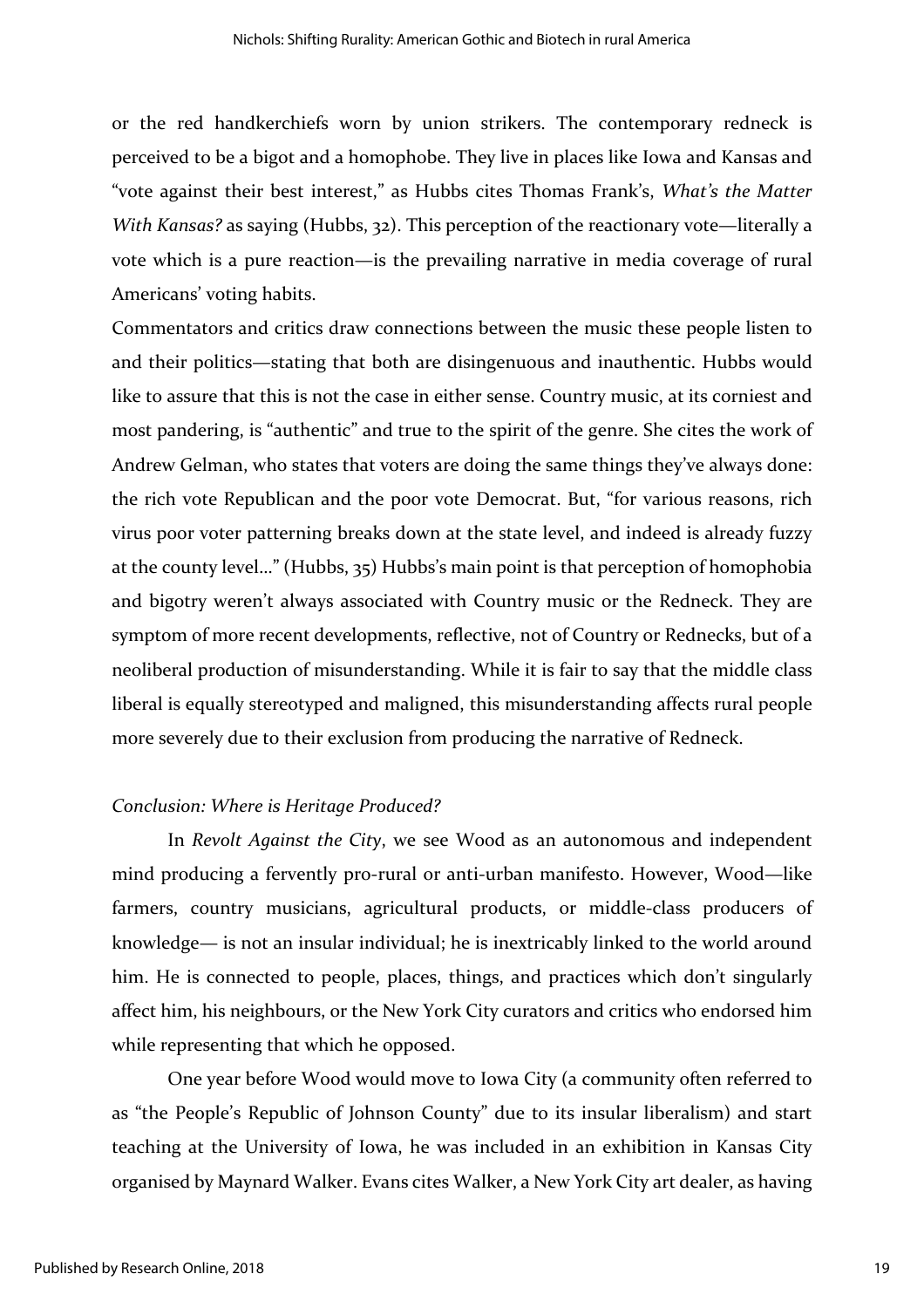or the red handkerchiefs worn by union strikers. The contemporary redneck is perceived to be a bigot and a homophobe. They live in places like Iowa and Kansas and "vote against their best interest," as Hubbs cites Thomas Frank's, *What's the Matter With Kansas?* as saying (Hubbs, 32). This perception of the reactionary vote—literally a vote which is a pure reaction—is the prevailing narrative in media coverage of rural Americans' voting habits.

Commentators and critics draw connections between the music these people listen to and their politics—stating that both are disingenuous and inauthentic. Hubbs would like to assure that this is not the case in either sense. Country music, at its corniest and most pandering, is "authentic" and true to the spirit of the genre. She cites the work of Andrew Gelman, who states that voters are doing the same things they've always done: the rich vote Republican and the poor vote Democrat. But, "for various reasons, rich virus poor voter patterning breaks down at the state level, and indeed is already fuzzy at the county level…" (Hubbs, 35) Hubbs's main point is that perception of homophobia and bigotry weren't always associated with Country music or the Redneck. They are symptom of more recent developments, reflective, not of Country or Rednecks, but of a neoliberal production of misunderstanding. While it is fair to say that the middle class liberal is equally stereotyped and maligned, this misunderstanding affects rural people more severely due to their exclusion from producing the narrative of Redneck.

#### *Conclusion: Where is Heritage Produced?*

In *Revolt Against the City*, we see Wood as an autonomous and independent mind producing a fervently pro-rural or anti-urban manifesto. However, Wood—like farmers, country musicians, agricultural products, or middle-class producers of knowledge— is not an insular individual; he is inextricably linked to the world around him. He is connected to people, places, things, and practices which don't singularly affect him, his neighbours, or the New York City curators and critics who endorsed him while representing that which he opposed.

One year before Wood would move to Iowa City (a community often referred to as "the People's Republic of Johnson County" due to its insular liberalism) and start teaching at the University of Iowa, he was included in an exhibition in Kansas City organised by Maynard Walker. Evans cites Walker, a New York City art dealer, as having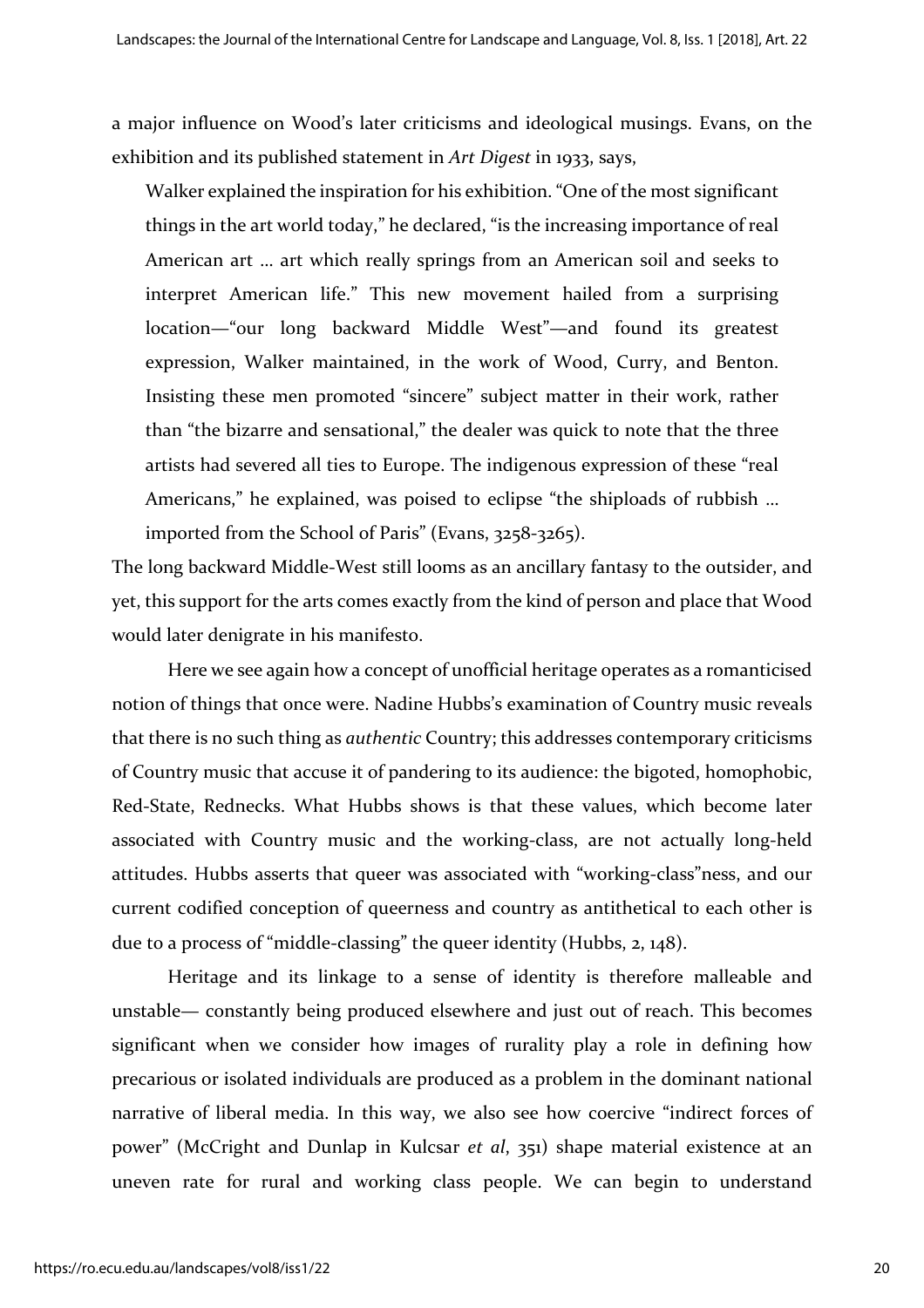a major influence on Wood's later criticisms and ideological musings. Evans, on the exhibition and its published statement in *Art Digest* in 1933, says,

Walker explained the inspiration for his exhibition. "One of the most significant things in the art world today," he declared, "is the increasing importance of real American art … art which really springs from an American soil and seeks to interpret American life." This new movement hailed from a surprising location—"our long backward Middle West"—and found its greatest expression, Walker maintained, in the work of Wood, Curry, and Benton. Insisting these men promoted "sincere" subject matter in their work, rather than "the bizarre and sensational," the dealer was quick to note that the three artists had severed all ties to Europe. The indigenous expression of these "real Americans," he explained, was poised to eclipse "the shiploads of rubbish … imported from the School of Paris" (Evans, 3258-3265).

The long backward Middle-West still looms as an ancillary fantasy to the outsider, and yet, this support for the arts comes exactly from the kind of person and place that Wood would later denigrate in his manifesto.

Here we see again how a concept of unofficial heritage operates as a romanticised notion of things that once were. Nadine Hubbs's examination of Country music reveals that there is no such thing as *authentic* Country; this addresses contemporary criticisms of Country music that accuse it of pandering to its audience: the bigoted, homophobic, Red-State, Rednecks. What Hubbs shows is that these values, which become later associated with Country music and the working-class, are not actually long-held attitudes. Hubbs asserts that queer was associated with "working-class"ness, and our current codified conception of queerness and country as antithetical to each other is due to a process of "middle-classing" the queer identity (Hubbs, 2, 148).

Heritage and its linkage to a sense of identity is therefore malleable and unstable— constantly being produced elsewhere and just out of reach. This becomes significant when we consider how images of rurality play a role in defining how precarious or isolated individuals are produced as a problem in the dominant national narrative of liberal media. In this way, we also see how coercive "indirect forces of power" (McCright and Dunlap in Kulcsar *et al*, 351) shape material existence at an uneven rate for rural and working class people. We can begin to understand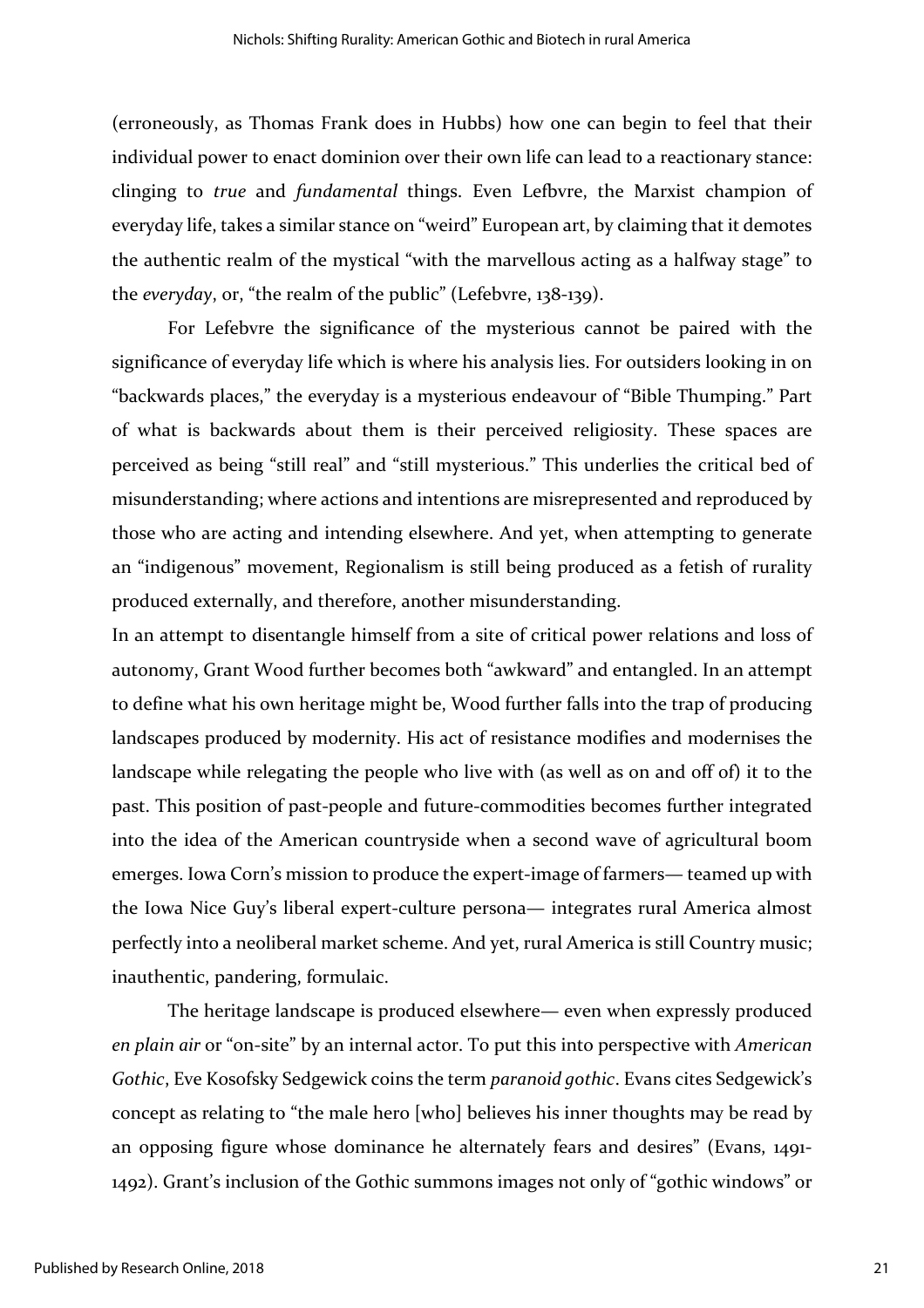(erroneously, as Thomas Frank does in Hubbs) how one can begin to feel that their individual power to enact dominion over their own life can lead to a reactionary stance: clinging to *true* and *fundamental* things. Even Lefbvre, the Marxist champion of everyday life, takes a similar stance on "weird" European art, by claiming that it demotes the authentic realm of the mystical "with the marvellous acting as a halfway stage" to the *everyday*, or, "the realm of the public" (Lefebvre, 138-139).

For Lefebvre the significance of the mysterious cannot be paired with the significance of everyday life which is where his analysis lies. For outsiders looking in on "backwards places," the everyday is a mysterious endeavour of "Bible Thumping." Part of what is backwards about them is their perceived religiosity. These spaces are perceived as being "still real" and "still mysterious." This underlies the critical bed of misunderstanding; where actions and intentions are misrepresented and reproduced by those who are acting and intending elsewhere. And yet, when attempting to generate an "indigenous" movement, Regionalism is still being produced as a fetish of rurality produced externally, and therefore, another misunderstanding.

In an attempt to disentangle himself from a site of critical power relations and loss of autonomy, Grant Wood further becomes both "awkward" and entangled. In an attempt to define what his own heritage might be, Wood further falls into the trap of producing landscapes produced by modernity. His act of resistance modifies and modernises the landscape while relegating the people who live with (as well as on and off of) it to the past. This position of past-people and future-commodities becomes further integrated into the idea of the American countryside when a second wave of agricultural boom emerges. Iowa Corn's mission to produce the expert-image of farmers— teamed up with the Iowa Nice Guy's liberal expert-culture persona— integrates rural America almost perfectly into a neoliberal market scheme. And yet, rural America is still Country music; inauthentic, pandering, formulaic.

The heritage landscape is produced elsewhere— even when expressly produced *en plain air* or "on-site" by an internal actor. To put this into perspective with *American Gothic*, Eve Kosofsky Sedgewick coins the term *paranoid gothic*. Evans cites Sedgewick's concept as relating to "the male hero [who] believes his inner thoughts may be read by an opposing figure whose dominance he alternately fears and desires" (Evans, 1491- 1492). Grant's inclusion of the Gothic summons images not only of "gothic windows" or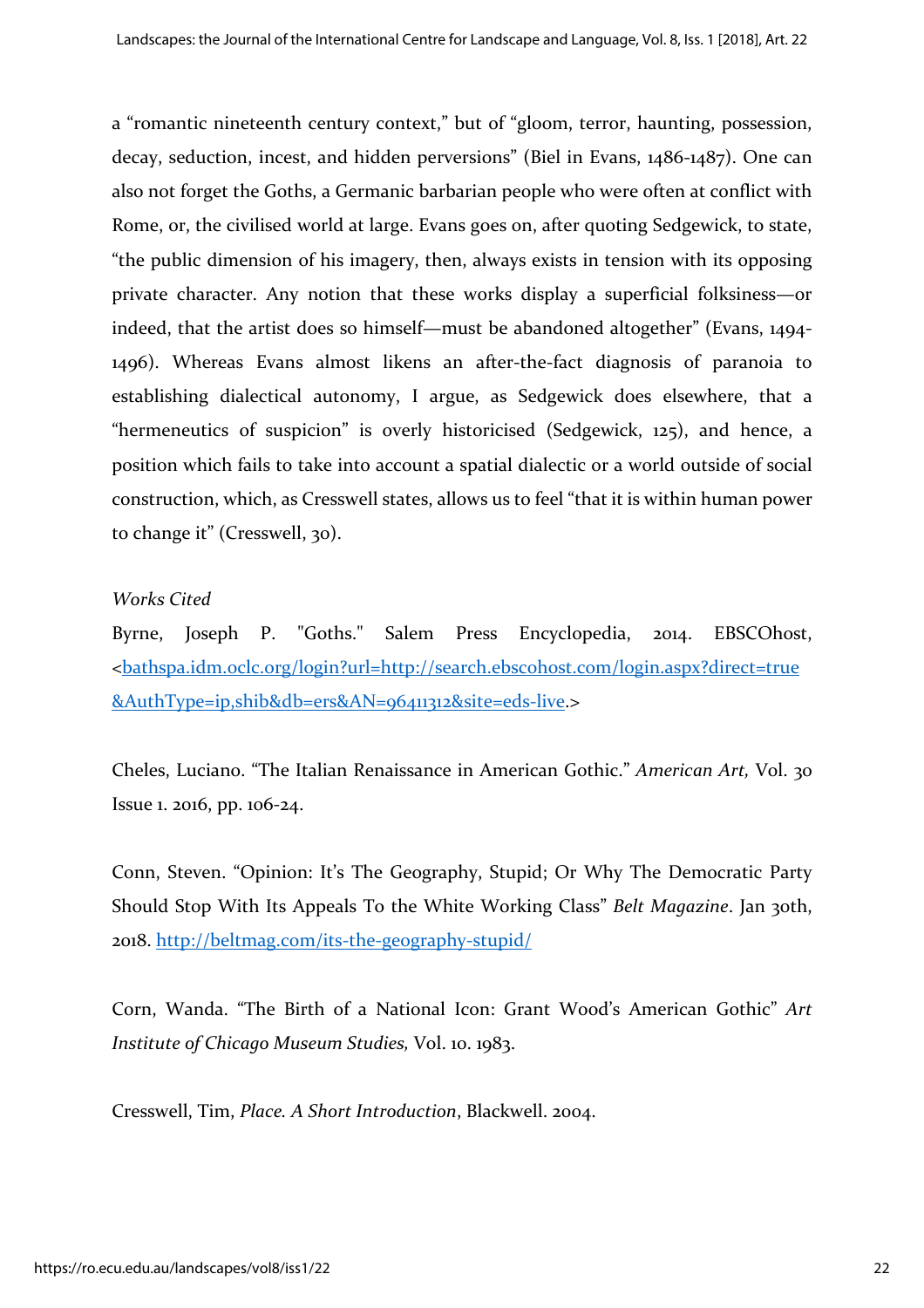a "romantic nineteenth century context," but of "gloom, terror, haunting, possession, decay, seduction, incest, and hidden perversions" (Biel in Evans, 1486-1487). One can also not forget the Goths, a Germanic barbarian people who were often at conflict with Rome, or, the civilised world at large. Evans goes on, after quoting Sedgewick, to state, "the public dimension of his imagery, then, always exists in tension with its opposing private character. Any notion that these works display a superficial folksiness—or indeed, that the artist does so himself—must be abandoned altogether" (Evans, 1494- 1496). Whereas Evans almost likens an after-the-fact diagnosis of paranoia to establishing dialectical autonomy, I argue, as Sedgewick does elsewhere, that a "hermeneutics of suspicion" is overly historicised (Sedgewick, 125), and hence, a position which fails to take into account a spatial dialectic or a world outside of social construction, which, as Cresswell states, allows us to feel "that it is within human power to change it" (Cresswell, 30).

#### *Works Cited*

Byrne, Joseph P. "Goths." Salem Press Encyclopedia, 2014. EBSCOhost, [<bathspa.idm.oclc.org/login?url=http://search.ebscohost.com/login.aspx?direct=true](http://bathspa.idm.oclc.org/login?url=http://search.ebscohost.com/login.aspx?direct=true&AuthType=ip,shib&db=ers&AN=96411312&site=eds-live) [&AuthType=ip,shib&db=ers&AN=96411312&site=eds-live.](http://bathspa.idm.oclc.org/login?url=http://search.ebscohost.com/login.aspx?direct=true&AuthType=ip,shib&db=ers&AN=96411312&site=eds-live)>

Cheles, Luciano. "The Italian Renaissance in American Gothic." *American Art,* Vol. 30 Issue 1. 2016, pp. 106-24.

Conn, Steven. "Opinion: It's The Geography, Stupid; Or Why The Democratic Party Should Stop With Its Appeals To the White Working Class" *Belt Magazine*. Jan 30th, 2018. <http://beltmag.com/its-the-geography-stupid/>

Corn, Wanda. "The Birth of a National Icon: Grant Wood's American Gothic" *Art Institute of Chicago Museum Studies,* Vol. 10. 1983.

Cresswell, Tim, *Place. A Short Introduction*, Blackwell. 2004.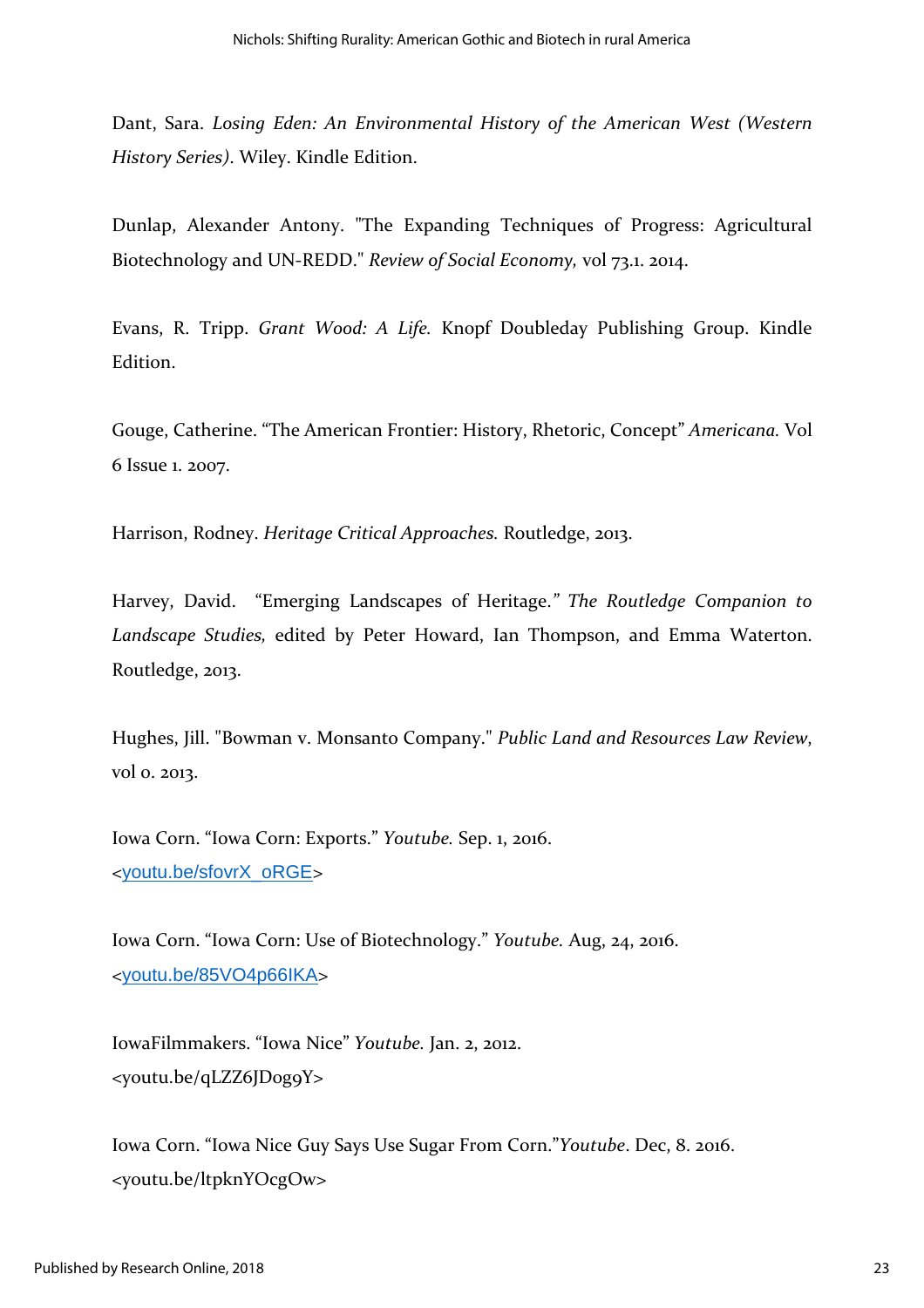Dant, Sara. *Losing Eden: An Environmental History of the American West (Western History Series)*. Wiley. Kindle Edition.

Dunlap, Alexander Antony. "The Expanding Techniques of Progress: Agricultural Biotechnology and UN-REDD." *Review of Social Economy,* vol 73.1. 2014.

Evans, R. Tripp. *Grant Wood: A Life.* Knopf Doubleday Publishing Group. Kindle Edition.

Gouge, Catherine. "The American Frontier: History, Rhetoric, Concept" *Americana.* Vol 6 Issue 1. 2007.

Harrison, Rodney. *Heritage Critical Approaches.* Routledge, 2013.

Harvey, David. "Emerging Landscapes of Heritage.*" The Routledge Companion to Landscape Studies,* edited by Peter Howard, Ian Thompson, and Emma Waterton. Routledge, 2013.

Hughes, Jill. "Bowman v. Monsanto Company." *Public Land and Resources Law Review*, vol 0. 2013.

Iowa Corn. "Iowa Corn: Exports." *Youtube.* Sep. 1, 2016. <[youtu.be/sfovrX\\_oRGE](http://youtu.be/sfovrX_oRGE)>

Iowa Corn. "Iowa Corn: Use of Biotechnology." *Youtube.* Aug, 24, 2016. <[youtu.be/85VO4p66IKA](https://youtu.be/85VO4p66IKA)>

IowaFilmmakers. "Iowa Nice" *Youtube.* Jan. 2, 2012. <youtu.be/qLZZ6JD0g9Y>

Iowa Corn. "Iowa Nice Guy Says Use Sugar From Corn."*Youtube*. Dec, 8. 2016. <youtu.be/ltpknYOcgOw>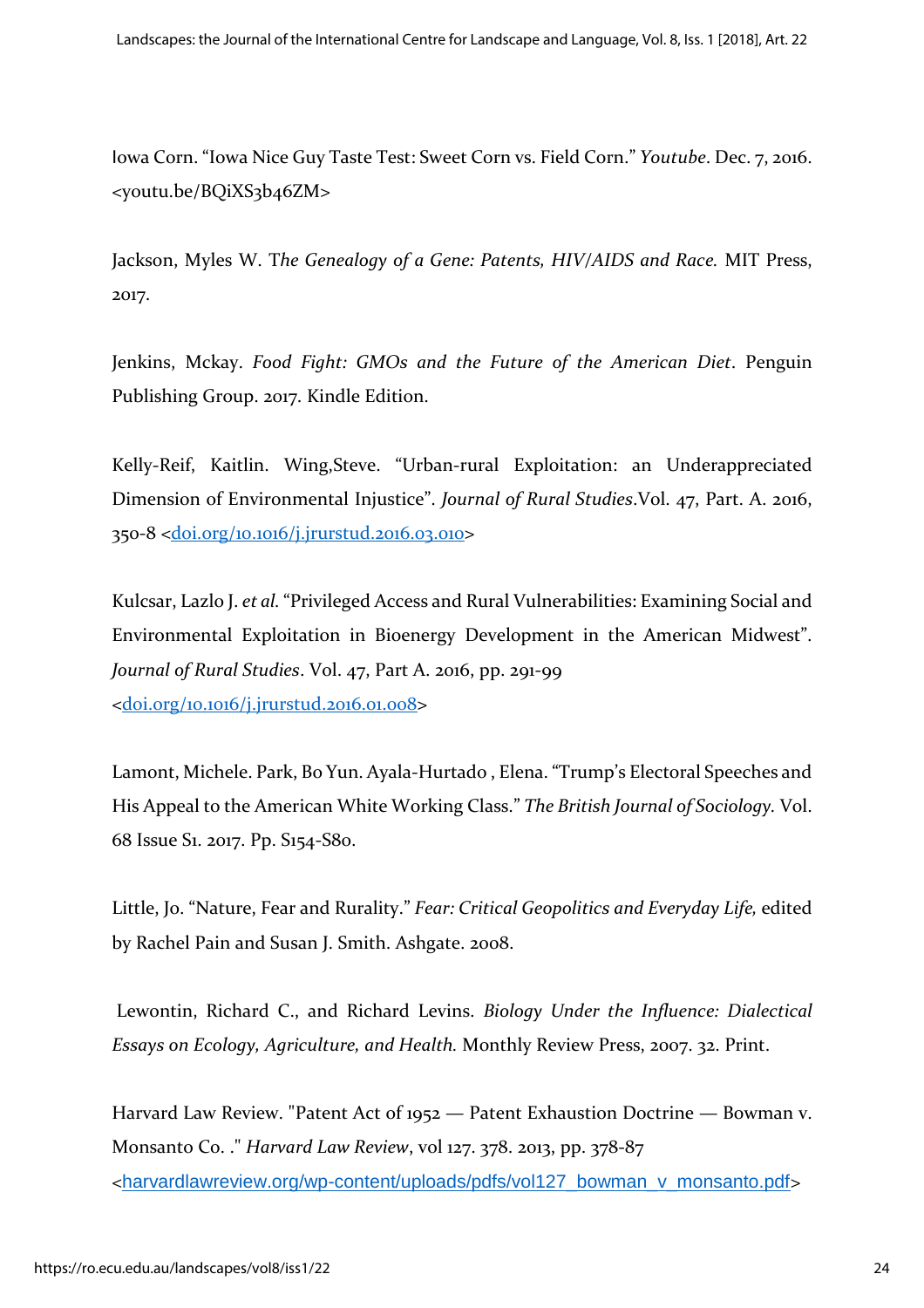Iowa Corn. "Iowa Nice Guy Taste Test: Sweet Corn vs. Field Corn." *Youtube*. Dec. 7, 2016. <youtu.be/BQiXS3b46ZM>

Jackson, Myles W. T*he Genealogy of a Gene: Patents, HIV/AIDS and Race.* MIT Press, 2017.

Jenkins, Mckay. *Food Fight: GMOs and the Future of the American Diet*. Penguin Publishing Group. 2017. Kindle Edition.

Kelly-Reif, Kaitlin. Wing,Steve. "Urban-rural Exploitation: an Underappreciated Dimension of Environmental Injustice". *Journal of Rural Studies*.Vol. 47, Part. A. 2016, 350-8 [<doi.org/10.1016/j.jrurstud.2016.03.010>](https://doi.org/10.1016/j.jrurstud.2016.03.010)

Kulcsar, Lazlo J. *et al.* "Privileged Access and Rural Vulnerabilities: Examining Social and Environmental Exploitation in Bioenergy Development in the American Midwest". *Journal of Rural Studies*. Vol. 47, Part A. 2016, pp. 291-99 [<doi.org/10.1016/j.jrurstud.2016.01.008>](https://doi.org/10.1016/j.jrurstud.2016.01.008)

Lamont, Michele. Park, Bo Yun. Ayala-Hurtado , Elena. "Trump's Electoral Speeches and His Appeal to the American White Working Class." *The British Journal of Sociology.* Vol. 68 Issue S1. 2017. Pp. S154-S80.

Little, Jo. "Nature, Fear and Rurality." *Fear: Critical Geopolitics and Everyday Life,* edited by Rachel Pain and Susan J. Smith. Ashgate. 2008.

Lewontin, Richard C., and Richard Levins. *Biology Under the Influence: Dialectical Essays on Ecology, Agriculture, and Health.* Monthly Review Press, 2007. 32. Print.

Harvard Law Review. "Patent Act of 1952 — Patent Exhaustion Doctrine — Bowman v. Monsanto Co. ." *Harvard Law Review*, vol 127. 378. 2013, pp. 378-87 <[harvardlawreview.org/wp-content/uploads/pdfs/vol127\\_bowman\\_v\\_monsanto.pdf](http://harvardlawreview.org/wp-content/uploads/pdfs/vol127_bowman_v_monsanto.pdf)>